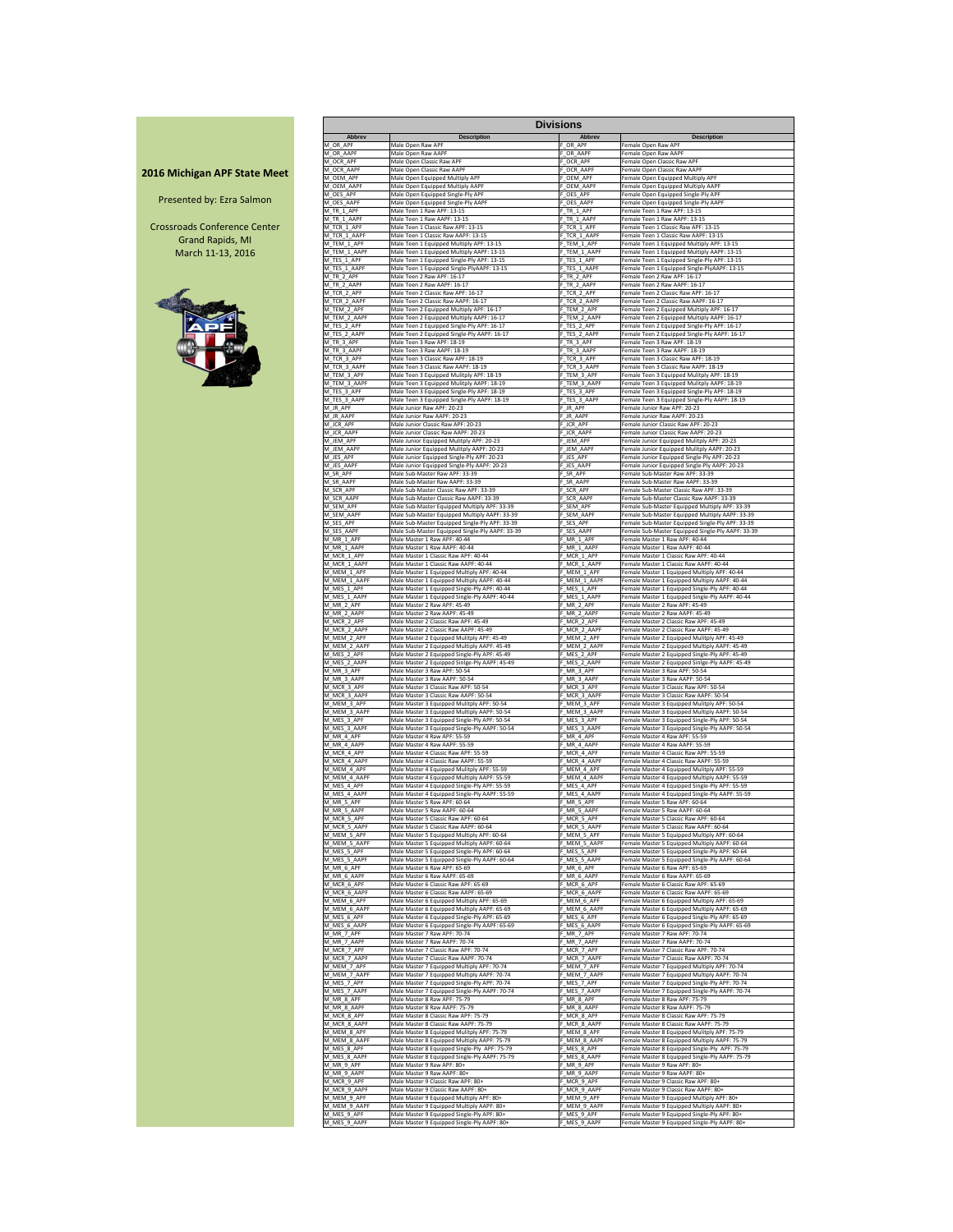|                                     |                             |                                                                                               | <b>Divisions</b>            |                                                                                                   |
|-------------------------------------|-----------------------------|-----------------------------------------------------------------------------------------------|-----------------------------|---------------------------------------------------------------------------------------------------|
|                                     | <b>Abbrev</b>               | <b>Description</b>                                                                            | <b>Abbrev</b>               | <b>Description</b>                                                                                |
|                                     | M OR APF                    | Male Open Raw APF                                                                             | OR APF                      | Female Open Raw APF                                                                               |
|                                     | M OR AAPF                   | Male Open Raw AAPF                                                                            | F OR AAPF                   | Female Open Raw AAPF                                                                              |
|                                     | M OCR APF                   | Male Open Classic Raw APF                                                                     | FOCR_APF                    | Female Open Classic Raw APF                                                                       |
|                                     | M OCR AAPF                  | Male Open Classic Raw AAPF                                                                    | OCR_AAPF                    | Female Open Classic Raw AAPF                                                                      |
| <b>2016 Michigan APF State Meet</b> | M OEM APF                   | Male Open Equipped Multiply APF                                                               | OEM APF                     | Female Open Equipped Multiply APF                                                                 |
|                                     | M OEM AAPF                  | Male Open Equipped Multiply AAPF                                                              | OEM AAPF                    | Female Open Equipped Multiply AAPF                                                                |
| Presented by: Ezra Salmon           | M OES APF                   | Male Open Equipped Single-Ply APF                                                             | F OES APF                   | Female Open Equipped Single-Ply APF                                                               |
|                                     | M OES AAPF                  | Male Open Equipped Single-Ply AAPF                                                            | OES AAPF                    | Female Open Equipped Single-Ply AAPF                                                              |
|                                     | M TR 1 APF                  | Male Teen 1 Raw APF: 13-15                                                                    | F TR 1 APF                  | Female Teen 1 Raw APF: 13-15                                                                      |
|                                     | M TR 1 AAPF                 | Male Teen 1 Raw AAPF: 13-15                                                                   | F TR 1 AAPF                 | Female Teen 1 Raw AAPF: 13-15                                                                     |
| <b>Crossroads Conference Center</b> | M_TCR_1_APF<br>M TCR 1 AAPF | Male Teen 1 Classic Raw APF: 13-15<br>Male Teen 1 Classic Raw AAPF: 13-15                     | F_TCR_1_APF                 | Female Teen 1 Classic Raw APF: 13-15<br>Female Teen 1 Classic Raw AAPF: 13-15                     |
| <b>Grand Rapids, MI</b>             | M TEM 1 APF                 | Male Teen 1 Equipped Multiply APF: 13-15                                                      | F TCR 1 AAPF<br>F_TEM_1_APF | Female Teen 1 Equipped Multiply APF: 13-15                                                        |
| March 11-13, 2016                   | M_TEM_1_AAPF                | Male Teen 1 Equipped Multiply AAPF: 13-15                                                     | F_TEM_1_AAPF                | Female Teen 1 Equipped Multiply AAPF: 13-15                                                       |
|                                     | M_TES_1_APF                 | Male Teen 1 Equipped Single-Ply APF: 13-15                                                    | F_TES_1_APF                 | Female Teen 1 Equipped Single-Ply APF: 13-15                                                      |
|                                     | M_TES_1_AAPF                | Male Teen 1 Equipped Single-PlyAAPF: 13-15                                                    | F_TES_1_AAPF                | Female Teen 1 Equipped Single-PlyAAPF: 13-15                                                      |
|                                     | M_TR_2_APF                  | Male Teen 2 Raw APF: 16-17                                                                    | F_TR_2_APF                  | Female Teen 2 Raw APF: 16-17                                                                      |
|                                     | M TR 2 AAPF                 | Male Teen 2 Raw AAPF: 16-17                                                                   | F_TR_2_AAPF                 | Female Teen 2 Raw AAPF: 16-17                                                                     |
|                                     | M_TCR_2_APF                 | Male Teen 2 Classic Raw APF: 16-17                                                            | F_TCR_2_APF                 | Female Teen 2 Classic Raw APF: 16-17                                                              |
|                                     | M_TCR_2_AAPF                | Male Teen 2 Classic Raw AAPF: 16-17                                                           | F_TCR_2_AAPF                | Female Teen 2 Classic Raw AAPF: 16-17                                                             |
|                                     | M_TEM_2_APF                 | Male Teen 2 Equipped Multiply APF: 16-17                                                      | F_TEM_2_APF                 | Female Teen 2 Equipped Multiply APF: 16-17                                                        |
|                                     | M_TEM_2_AAPF                | Male Teen 2 Equipped Multiply AAPF: 16-17                                                     | F_TEM_2_AAPF                | Female Teen 2 Equipped Multiply AAPF: 16-17                                                       |
|                                     | M TES 2 APF                 | Male Teen 2 Equipped Single-Ply APF: 16-17                                                    | F_TES_2_APF                 | Female Teen 2 Equipped Single-Ply APF: 16-17                                                      |
|                                     | M_TES_2_AAPF                | Male Teen 2 Equipped Single-Ply AAPF: 16-17                                                   | F_TES_2_AAPF                | Female Teen 2 Equipped Single-Ply AAPF: 16-17                                                     |
|                                     | M TR 3 APF                  | Male Teen 3 Raw APF: 18-19                                                                    | F TR 3 APF                  | Female Teen 3 Raw APF: 18-19                                                                      |
|                                     | M TR 3 AAPF<br>M TCR 3 APF  | Male Teen 3 Raw AAPF: 18-19                                                                   | F TR 3 AAPF                 | Female Teen 3 Raw AAPF: 18-19                                                                     |
|                                     | M_TCR_3_AAPF                | Male Teen 3 Classic Raw APF: 18-19<br>Male Teen 3 Classic Raw AAPF: 18-19                     | F_TCR_3_APF<br>F_TCR_3_AAPF | Female Teen 3 Classic Raw APF: 18-19<br>Female Teen 3 Classic Raw AAPF: 18-19                     |
|                                     | M_TEM_3_APF                 | Male Teen 3 Equipped Mulitply APF: 18-19                                                      | F_TEM_3_APF                 | Female Teen 3 Equipped Mulitply APF: 18-19                                                        |
|                                     | M TEM 3 AAPF                | Male Teen 3 Equipped Mulitply AAPF: 18-19                                                     | F_TEM_3_AAPF                | Female Teen 3 Equipped Mulitply AAPF: 18-19                                                       |
|                                     | M TES 3 APF                 | Male Teen 3 Equipped Single-Ply APF: 18-19                                                    | F_TES_3_APF                 | Female Teen 3 Equipped Single-Ply APF: 18-19                                                      |
|                                     | M_TES_3_AAPF                | Male Teen 3 Equipped Single-Ply AAPF: 18-19                                                   | F_TES_3_AAPF                | Female Teen 3 Equipped Single-Ply AAPF: 18-19                                                     |
|                                     | M JR APF                    | Male Junior Raw APF: 20-23                                                                    | F_JR_APF                    | Female Junior Raw APF: 20-23                                                                      |
|                                     | M JR AAPF                   | Male Junior Raw AAPF: 20-23                                                                   | F JR AAPF                   | Female Junior Raw AAPF: 20-23                                                                     |
|                                     | M_JCR_APF                   | Male Junior Classic Raw APF: 20-23                                                            | F_JCR_APF                   | Female Junior Classic Raw APF: 20-23                                                              |
|                                     | M JCR AAPF                  | Male Junior Classic Raw AAPF: 20-23                                                           | F_JCR_AAPF                  | Female Junior Classic Raw AAPF: 20-23                                                             |
|                                     | M_JEM_APF                   | Male Junior Equipped Mulitply APF: 20-23                                                      | F_JEM_APF                   | Female Junior Equipped Mulitply APF: 20-23                                                        |
|                                     | M JEM AAPF                  | Male Junior Equipped Mulitply AAPF: 20-23                                                     | F_JEM_AAPF                  | Female Junior Equipped Mulitply AAPF: 20-23                                                       |
|                                     | M JES APF                   | Male Junior Equipped Single-Ply APF: 20-23                                                    | F_JES_APF                   | Female Junior Equipped Single-Ply APF: 20-23                                                      |
|                                     | M JES AAPF                  | Male Junior Equipped Single-Ply AAPF: 20-23                                                   | F JES AAPF                  | Female Junior Equipped Single-Ply AAPF: 20-23                                                     |
|                                     | M SR APF                    | Male Sub-Master Raw APF: 33-39                                                                | F SR APF                    | Female Sub-Master Raw APF: 33-39                                                                  |
|                                     | M SR AAPF                   | Male Sub-Master Raw AAPF: 33-39                                                               | F SR AAPF                   | Female Sub-Master Raw AAPF: 33-39                                                                 |
|                                     | M_SCR_APF                   | Male Sub-Master Classic Raw APF: 33-39                                                        | F_SCR_APF                   | Female Sub-Master Classic Raw APF: 33-39                                                          |
|                                     | M SCR AAPF                  | Male Sub-Master Classic Raw AAPF: 33-39                                                       | F SCR AAPF                  | Female Sub-Master Classic Raw AAPF: 33-39                                                         |
|                                     | M SEM APF                   | Male Sub-Master Equipped Multiply APF: 33-39                                                  | F_SEM_APF                   | Female Sub-Master Equipped Multiply APF: 33-39                                                    |
|                                     | M SEM AAPF                  | Male Sub-Master Equipped Multiply AAPF: 33-39                                                 | F SEM AAPF                  | Female Sub-Master Equipped Multiply AAPF: 33-39                                                   |
|                                     | M SES APF                   | Male Sub-Master Equipped Single-Ply APF: 33-39                                                | SES_APF                     | Female Sub-Master Equipped Single-Ply APF: 33-39                                                  |
|                                     | M SES AAPF                  | Male Sub-Master Equipped Single-Ply AAPF: 33-39                                               | F_SES_AAPF                  | Female Sub-Master Equipped Single-Ply AAPF: 33-39                                                 |
|                                     | M_MR_1_APF                  | Male Master 1 Raw APF: 40-44                                                                  | F_MR_1_APF                  | Female Master 1 Raw APF: 40-44                                                                    |
|                                     | M MR 1 AAPF                 | Male Master 1 Raw AAPF: 40-44                                                                 | $-$ MR $_1$ AAPF            | Female Master 1 Raw AAPF: 40-44                                                                   |
|                                     | M_MCR_1_APF                 | Male Master 1 Classic Raw APF: 40-44                                                          | F_MCR_1_APF                 | Female Master 1 Classic Raw APF: 40-44                                                            |
|                                     | M_MCR_1_AAPF                | Male Master 1 Classic Raw AAPF: 40-44                                                         | F_MCR_1_AAPF                | Female Master 1 Classic Raw AAPF: 40-44                                                           |
|                                     | M_MEM_1_APF                 | Male Master 1 Equipped Multiply APF: 40-44                                                    | $-MEM_1$ APF                | Female Master 1 Equipped Multiply APF: 40-44                                                      |
|                                     | M_MEM_1_AAPF<br>M MES 1 APF | Male Master 1 Equipped Multiply AAPF: 40-44                                                   | MEM_1_AAPF_                 | Female Master 1 Equipped Multiply AAPF: 40-44                                                     |
|                                     | M MES 1 AAPF                | Male Master 1 Equipped Single-Ply APF: 40-44<br>Male Master 1 Equipped Single-Ply AAPF: 40-44 | F_MES_1_APF<br>MES_1_AAPF   | Female Master 1 Equipped Single-Ply APF: 40-44<br>Female Master 1 Equipped Single-Ply AAPF: 40-44 |
|                                     | M MR 2 APF                  | Male Master 2 Raw APF: 45-49                                                                  | F MR 2 APF                  | Female Master 2 Raw APF: 45-49                                                                    |
|                                     | M_MR_2_AAPF                 | Male Master 2 Raw AAPF: 45-49                                                                 | MR_2_AAPF                   | Female Master 2 Raw AAPF: 45-49                                                                   |
|                                     | M_MCR_2_APF                 | Male Master 2 Classic Raw APF: 45-49                                                          | MCR_2_APF                   | Female Master 2 Classic Raw APF: 45-49                                                            |
|                                     | M MCR 2 AAPF                | Male Master 2 Classic Raw AAPF: 45-49                                                         | F MCR 2 AAPF                | Female Master 2 Classic Raw AAPF: 45-49                                                           |
|                                     | M MEM 2 APF                 | Male Master 2 Equipped Mulitply APF: 45-49                                                    | F MEM 2 APF                 | Female Master 2 Equipped Mulitply APF: 45-49                                                      |
|                                     | M MEM 2 AAPF                | Male Master 2 Equipped Multiply AAPF: 45-49                                                   | MEM 2 AAPF                  | Female Master 2 Equipped Multiply AAPF: 45-49                                                     |
|                                     | M MES 2 APF                 | Male Master 2 Equipped Single-Ply APF: 45-49                                                  | MES_2_APF                   | Female Master 2 Equipped Single-Ply APF: 45-49                                                    |
|                                     | M MES 2 AAPF                | Male Master 2 Equipped Sinlge-Ply AAPF: 45-49                                                 | _MES_2_AAPF                 | Female Master 2 Equipped Sinlge-Ply AAPF: 45-49                                                   |
|                                     | M_MR_3_APF                  | Male Master 3 Raw APF: 50-54                                                                  | F_MR_3_APF                  | Female Master 3 Raw APF: 50-54                                                                    |
|                                     | M_MR_3_AAPF                 | Male Master 3 Raw AAPF: 50-54                                                                 | F_MR_3_AAPF                 | Female Master 3 Raw AAPF: 50-54                                                                   |
|                                     | M_MCR_3_APF                 | Male Master 3 Classic Raw APF: 50-54                                                          | F_MCR_3_APF                 | Female Master 3 Classic Raw APF: 50-54                                                            |
|                                     | M_MCR_3_AAPF                | Male Master 3 Classic Raw AAPF: 50-54                                                         | F_MCR_3_AAPF                | Female Master 3 Classic Raw AAPF: 50-54                                                           |
|                                     | M_MEM_3_APF                 | Male Master 3 Equipped Mulitply APF: 50-54                                                    | $-MEM_3$ _APF               | Female Master 3 Equipped Mulitply APF: 50-54                                                      |
|                                     | M MEM 3 AAPF                | Male Master 3 Equipped Multiply AAPF: 50-54                                                   | MEM 3 AAPF                  | Female Master 3 Equipped Multiply AAPF: 50-54                                                     |
|                                     | M MES 3 APF                 | Male Master 3 Equipped Single-Ply APF: 50-54                                                  | MES_3_APF                   | Female Master 3 Equipped Single-Ply APF: 50-54                                                    |
|                                     | M_MES_3_AAPF                | Male Master 3 Equipped Single-Ply AAPF: 50-54                                                 | F_MES_3_AAPF                | Female Master 3 Equipped Single-Ply AAPF: 50-54                                                   |
|                                     | M MR 4 APF                  | Male Master 4 Raw APF: 55-59                                                                  | F MR 4 APF                  | Female Master 4 Raw APF: 55-59                                                                    |
|                                     | M_MR_4_AAPF                 | Male Master 4 Raw AAPF: 55-59                                                                 | $M.R_4$ AAPF                | Female Master 4 Raw AAPF: 55-59                                                                   |
|                                     | M MCR 4 APF                 | Male Master 4 Classic Raw APF: 55-59                                                          | MCR 4 APF                   | Female Master 4 Classic Raw APF: 55-59                                                            |
|                                     | M MCR 4 AAPF                | Male Master 4 Classic Raw AAPF: 55-59                                                         | MCR_4_AAPF                  | Female Master 4 Classic Raw AAPF: 55-59                                                           |
|                                     | M MEM 4 APF                 | Male Master 4 Equipped Mulitply APF: 55-59                                                    | F MEM 4 APF                 | Female Master 4 Equipped Mulitply APF: 55-59                                                      |
|                                     | M MEM 4 AAPF                | Male Master 4 Equipped Multiply AAPF: 55-59                                                   | MEM 4 AAPF                  | Female Master 4 Equipped Multiply AAPF: 55-59                                                     |
|                                     | M MES 4 APF                 | Male Master 4 Equipped Single-Ply APF: 55-59                                                  | MES 4 APF                   | Female Master 4 Equipped Single-Ply APF: 55-59                                                    |
|                                     | M MES 4 AAPF                | Male Master 4 Equipped Single-Ply AAPF: 55-59                                                 | MES_4_AAPF                  | Female Master 4 Equipped Single-Ply AAPF: 55-59                                                   |
|                                     | M MR 5 APF                  | Male Master 5 Raw APF: 60-64                                                                  | F_MR_5_APF                  | Female Master 5 Raw APF: 60-64                                                                    |
|                                     | M_MR_5_AAPF                 | Male Master 5 Raw AAPF: 60-64                                                                 | F_MR_5_AAPF                 | Female Master 5 Raw AAPF: 60-64                                                                   |
|                                     | M_MCR_5_APF                 | Male Master 5 Classic Raw APF: 60-64                                                          | F_MCR_5_APF                 | Female Master 5 Classic Raw APF: 60-64                                                            |
|                                     | M_MCR_5_AAPF                | Male Master 5 Classic Raw AAPF: 60-64                                                         | MCR_5_AAPF                  | Female Master 5 Classic Raw AAPF: 60-64                                                           |
|                                     | M_MEM_5_APF                 | Male Master 5 Equipped Multiply APF: 60-64                                                    | MEM_5_APF_                  | Female Master 5 Equipped Multiply APF: 60-64                                                      |
|                                     | M MEM 5 AAPF                | Male Master 5 Equipped Multiply AAPF: 60-64                                                   | MEM 5 AAPF                  | Female Master 5 Equipped Multiply AAPF: 60-64                                                     |
|                                     | M MES 5 APF                 | Male Master 5 Equipped Single-Ply APF: 60-64                                                  | $MES_5$ APF                 | Female Master 5 Equipped Single-Ply APF: 60-64                                                    |
|                                     | M_MES_5_AAPF                | Male Master 5 Equipped Single-Ply AAPF: 60-64                                                 | MES_5_AAPF_                 | Female Master 5 Equipped Single-Ply AAPF: 60-64                                                   |
|                                     | M_MR_6_APF                  | Male Master 6 Raw APF: 65-69                                                                  | F_MR_6_APF                  | Female Master 6 Raw APF: 65-69                                                                    |
|                                     | M MR 6 AAPF                 | Male Master 6 Raw AAPF: 65-69                                                                 | MR 6 AAPF                   | Female Master 6 Raw AAPF: 65-69                                                                   |
|                                     | M_MCR_6_APF                 | Male Master 6 Classic Raw APF: 65-69                                                          | MCR 6 APF                   | Female Master 6 Classic Raw APF: 65-69                                                            |
|                                     | M_MCR_6_AAPF                | Male Master 6 Classic Raw AAPF: 65-69                                                         | F_MCR_6_AAPF                | Female Master 6 Classic Raw AAPF: 65-69                                                           |
|                                     | M_MEM_6_APF                 | Male Master 6 Equipped Multiply APF: 65-69                                                    | F_MEM_6_APF                 | Female Master 6 Equipped Multiply APF: 65-69                                                      |
|                                     | M MEM 6 AAPF                | Male Master 6 Equipped Multiply AAPF: 65-69                                                   | MEM 6 AAPF                  | Female Master 6 Equipped Multiply AAPF: 65-69                                                     |
|                                     | M MES 6 APF                 | Male Master 6 Equipped Single-Ply APF: 65-69                                                  | MES 6 APF                   | Female Master 6 Equipped Single-Ply APF: 65-69                                                    |
|                                     | M MES 6 AAPF                | Male Master 6 Equipped Single-Ply AAPF: 65-69                                                 | MES 6 AAPF                  | Female Master 6 Equipped Single-Ply AAPF: 65-69                                                   |
|                                     | M MR 7 APF<br>M MR 7 AAPF   | Male Master 7 Raw APF: 70-74<br>Male Master 7 Raw AAPF: 70-74                                 | F MR 7 APF                  | Female Master 7 Raw APF: 70-74<br>Female Master 7 Raw AAPF: 70-74                                 |
|                                     | M MCR 7 APF                 | Male Master 7 Classic Raw APF: 70-74                                                          | F_MR_7_AAPF<br>F_MCR_7_APF  | Female Master 7 Classic Raw APF: 70-74                                                            |
|                                     | M MCR 7 AAPF                | Male Master 7 Classic Raw AAPF: 70-74                                                         | MCR_7_AAPF                  | Female Master 7 Classic Raw AAPF: 70-74                                                           |
|                                     | M_MEM_7_APF                 | Male Master 7 Equipped Multiply APF: 70-74                                                    | MEM_7_APF_                  | Female Master 7 Equipped Multiply APF: 70-74                                                      |
|                                     | M MEM 7 AAPF                | Male Master 7 Equipped Multiply AAPF: 70-74                                                   | MEM 7 AAPF                  | Female Master 7 Equipped Multiply AAPF: 70-74                                                     |
|                                     | M_MES_7_APF                 | Male Master 7 Equipped Single-Ply APF: 70-74                                                  | MES_7_APF_                  | Female Master 7 Equipped Single-Ply APF: 70-74                                                    |
|                                     | M MES 7 AAPF                | Male Master 7 Equipped Single-Ply AAPF: 70-74                                                 | MES_7_AAPF_                 | Female Master 7 Equipped Single-Ply AAPF: 70-74                                                   |
|                                     | M MR 8 APF                  | Male Master 8 Raw APF: 75-79                                                                  | F_MR_8_APF                  | Female Master 8 Raw APF: 75-79                                                                    |
|                                     | M MR 8 AAPF                 | Male Master 8 Raw AAPF: 75-79                                                                 | MR 8 AAPF                   | Female Master 8 Raw AAPF: 75-79                                                                   |
|                                     | M MCR 8 APF                 | Male Master 8 Classic Raw APF: 75-79                                                          | MCR 8 APF                   | Female Master 8 Classic Raw APF: 75-79                                                            |
|                                     | M MCR 8 AAPF                | Male Master 8 Classic Raw AAPF: 75-79                                                         | MCR 8 AAPF                  | Female Master 8 Classic Raw AAPF: 75-79                                                           |
|                                     | M MEM 8 APF                 | Male Master 8 Equipped Mulitply APF: 75-79                                                    | $-$ MEM $-8$ APF            | Female Master 8 Equipped Mulitply APF: 75-79                                                      |
|                                     | M MEM 8 AAPF                | Male Master 8 Equipped Multiply AAPF: 75-79                                                   | MEM 8 AAPF                  | Female Master 8 Equipped Multiply AAPF: 75-79                                                     |
|                                     | M MES 8 APF                 | Male Master 8 Equipped Single-Ply APF: 75-79                                                  | MES_8_APF                   | Female Master 8 Equipped Single-Ply APF: 75-79                                                    |
|                                     | M MES 8 AAPF                | Male Master 8 Equipped Single-Ply AAPF: 75-79                                                 | MES 8 AAPF                  | Female Master 8 Equipped Single-Ply AAPF: 75-79                                                   |
|                                     | M_MR_9_APF                  | Male Master 9 Raw APF: 80+                                                                    | F_MR_9_APF                  | Female Master 9 Raw APF: 80+                                                                      |
|                                     | M MR 9 AAPF                 | Male Master 9 Raw AAPF: 80+                                                                   | F_MR_9_AAPF                 | Female Master 9 Raw AAPF: 80+                                                                     |
|                                     | M_MCR_9_APF                 | Male Master 9 Classic Raw APF: 80+                                                            | F_MCR_9_APF                 | Female Master 9 Classic Raw APF: 80+                                                              |
|                                     | M_MCR_9_AAPF                | Male Master 9 Classic Raw AAPF: 80+                                                           | MCR_9_AAPF                  | Female Master 9 Classic Raw AAPF: 80+                                                             |
|                                     | M MEM 9 APF                 | Male Master 9 Equipped Multiply APF: 80+                                                      | MEM_9_APF                   | Female Master 9 Equipped Multiply APF: 80+                                                        |
|                                     | M MEM 9 AAPF                | Male Master 9 Equipped Multiply AAPF: 80+                                                     | MEM_9_AAPF_                 | Female Master 9 Equipped Multiply AAPF: 80+                                                       |
|                                     | M MES 9 APF                 | Male Master 9 Equipped Single-Ply APF: 80+                                                    | MES_9_APF                   | Female Master 9 Equipped Single-Ply APF: 80+                                                      |
|                                     | M_MES_9_AAPF                | Male Master 9 Equipped Single-Ply AAPF: 80+                                                   | F_MES_9_AAPF                | Female Master 9 Equipped Single-Ply AAPF: 80+                                                     |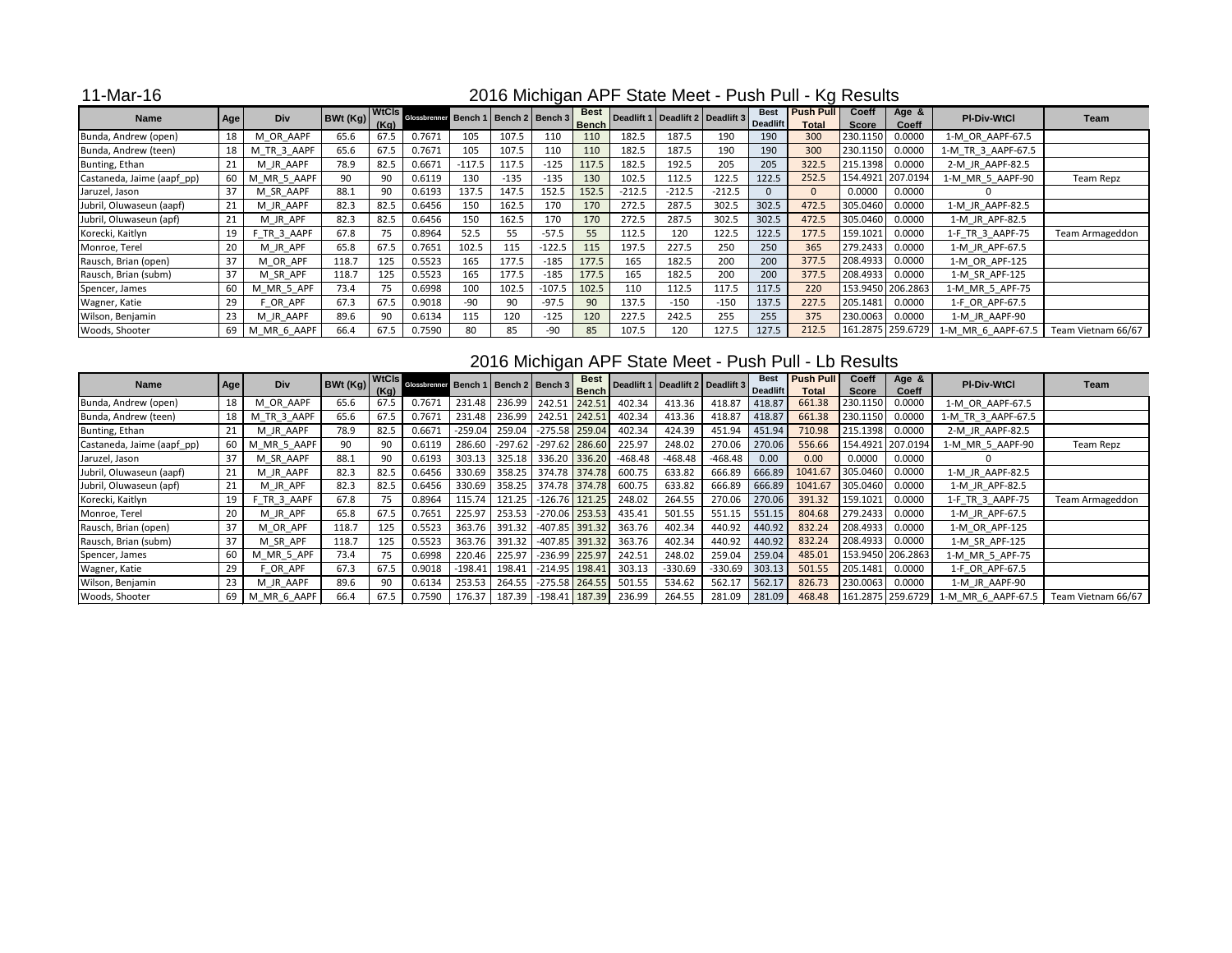11-Mar-16

| <b>Name</b>                |            | <b>Div</b>     | BWt(Kg) |      | A) WtCls Glossbrenner Bench 1 Bench 2 Bench 3 |          |        |          | <b>Best</b>  |          | Deadlift 1   Deadlift 2   Deadlift 3 |          | <b>Best</b>     | <b>Push Pull</b> | <b>Coeff</b> | Age &             | <b>PI-Div-WtCl</b> | Team               |
|----------------------------|------------|----------------|---------|------|-----------------------------------------------|----------|--------|----------|--------------|----------|--------------------------------------|----------|-----------------|------------------|--------------|-------------------|--------------------|--------------------|
|                            | <b>Age</b> |                |         | (Kg) |                                               |          |        |          | <b>Bench</b> |          |                                      |          | <b>Deadlift</b> | <b>Total</b>     | <b>Score</b> | <b>Coeff</b>      |                    |                    |
| Bunda, Andrew (open)       | 18         | M OR AAPF      | 65.6    | 67.5 | 0.7671                                        | 105      | 107.5  | 110      | 110          | 182.5    | 187.5                                | 190      | 190             | 300              | 230.1150     | 0.0000            | 1-M OR AAPF-67.5   |                    |
| Bunda, Andrew (teen)       | 18         | M TR 3 AAPF    | 65.6    | 67.5 | 0.7671                                        | 105      | 107.5  | 110      | 110          | 182.5    | 187.5                                | 190      | 190             | 300              | 230.1150     | 0.0000            | 1-M TR 3 AAPF-67.5 |                    |
| Bunting, Ethan             | 21         | M JR AAPF      | 78.9    | 82.5 | 0.6671                                        | $-117.5$ | 117.5  | $-125$   | 117.5        | 182.5    | 192.5                                | 205      | 205             | 322.5            | 215.1398     | 0.0000            | 2-M JR AAPF-82.5   |                    |
| Castaneda, Jaime (aapf_pp) | 60         | MR_5_AAPF<br>M | 90      | -90  | 0.6119                                        | 130      | $-135$ | $-135$   | 130          | 102.5    | 112.5                                | 122.5    | 122.5           | 252.5            |              | 154.4921 207.0194 | 1-M MR 5 AAPF-90   | Team Repz          |
| Jaruzel, Jason             | 37         | M SR AAPF      | 88.1    | 90   | 0.6193                                        | 137.5    | 147.5  | 152.5    | 152.5        | $-212.5$ | $-212.5$                             | $-212.5$ | $\Omega$        | $\Omega$         | 0.0000       | 0.0000            |                    |                    |
| Jubril, Oluwaseun (aapf)   | 21         | M_JR_AAPF      | 82.3    | 82.5 | 0.6456                                        | 150      | 162.5  | 170      | 170          | 272.5    | 287.5                                | 302.5    | 302.5           | 472.5            | 305.0460     | 0.0000            | 1-M_JR_AAPF-82.5   |                    |
| Jubril, Oluwaseun (apf)    | 21         | M JR APF       | 82.3    | 82.5 | 0.6456                                        | 150      | 162.5  | 170      | 170          | 272.5    | 287.5                                | 302.5    | 302.5           | 472.5            | 305.0460     | 0.0000            | 1-M JR APF-82.5    |                    |
| Korecki, Kaitlyn           | 19         | F TR 3 AAPF    | 67.8    | 75   | 0.8964                                        | 52.5     | 55     | $-57.5$  | 55           | 112.5    | 120                                  | 122.5    | 122.5           | 177.5            | 159.1021     | 0.0000            | 1-F TR 3 AAPF-75   | Team Armageddon    |
| Monroe, Terel              | 20         | M_JR_APF       | 65.8    | 67.5 | 0.7651                                        | 102.5    | 115    | $-122.5$ | 115          | 197.5    | 227.5                                | 250      | 250             | 365              | 279.2433     | 0.0000            | 1-M_JR_APF-67.5    |                    |
| Rausch, Brian (open)       | 37         | M_OR_APF       | 118.7   | 125  | 0.5523                                        | 165      | 177.5  | $-185$   | 177.5        | 165      | 182.5                                | 200      | 200             | 377.5            | 208.4933     | 0.0000            | 1-M_OR_APF-125     |                    |
| Rausch, Brian (subm)       | 37         | M SR APF       | 118.7   | 125  | 0.5523                                        | 165      | 177.5  | $-185$   | 177.5        | 165      | 182.5                                | 200      | 200             | 377.5            | 208.4933     | 0.0000            | 1-M_SR_APF-125     |                    |
| Spencer, James             | 60         | M MR 5 APF     | 73.4    | 75   | 0.6998                                        | 100      | 102.5  | $-107.5$ | 102.5        | 110      | 112.5                                | 117.5    | 117.5           | 220              |              | 153.9450 206.2863 | 1-M MR 5 APF-75    |                    |
| Wagner, Katie              | 29         | OR APF         | 67.3    | 67.5 | 0.9018                                        | -90      | 90     | $-97.5$  | 90           | 137.5    | $-150$                               | $-150$   | 137.5           | 227.5            | 205.1481     | 0.0000            | 1-F OR APF-67.5    |                    |
| Wilson, Benjamin           | 23         | M JR AAPF      | 89.6    | -90  | 0.6134                                        | 115      | 120    | $-125$   | 120          | 227.5    | 242.5                                | 255      | 255             | 375              | 230.0063     | 0.0000            | 1-M_JR_AAPF-90     |                    |
| Woods, Shooter             | 69         | MR 6 AAPF<br>M | 66.4    | 67.5 | 0.7590                                        | 80       | 85     | $-90$    | 85           | 107.5    | 120                                  | 127.5    | 127.5           | 212.5            |              | 161.2875 259.6729 | 1-M MR 6 AAPF-67.5 | Team Vietnam 66/67 |

| <b>Name</b>                | Age | <b>Div</b>              | BWt (Kg) |              | WtCls Glossbrenner Bench 1 Bench 2 Bench 3 |           |           |                  | <b>Best</b><br>Bench |           | Deadlift 1   Deadlift 2   Deadlift 3 |           | <b>Best</b><br><b>Deadlift</b> | <b>Push Pull</b><br><b>Total</b> | <b>Coeff</b><br><b>Score</b> | Age &                  | <b>PI-Div-WtCl</b> | Team               |
|----------------------------|-----|-------------------------|----------|--------------|--------------------------------------------|-----------|-----------|------------------|----------------------|-----------|--------------------------------------|-----------|--------------------------------|----------------------------------|------------------------------|------------------------|--------------------|--------------------|
| Bunda, Andrew (open)       | 18  | M OR AAPF               | 65.6     | (Kg)<br>67.5 | 0.767 <sup>4</sup>                         | 231.48    | 236.99    | 242.51 242.51    |                      | 402.34    | 413.36                               | 418.87    | 418.87                         | 661.38                           | 230.1150                     | <b>Coeff</b><br>0.0000 | 1-M_OR_AAPF-67.5   |                    |
| Bunda, Andrew (teen)       | 18  | TR <sub>3</sub> AAPF    | 65.6     | 67.5         | 0.7671                                     | 231.48    | 236.99    | 242.51 242.51    |                      | 402.34    | 413.36                               | 418.87    | 418.87                         | 661.38                           | 230.1150 0.0000              |                        | 1-M TR 3 AAPF-67.5 |                    |
| Bunting, Ethan             | 21  | M JR AAPF               | 78.9     | 82.5         | 0.6671                                     | $-259.04$ | 259.04    | $-275.58$ 259.04 |                      | 402.34    | 424.39                               | 451.94    | 451.94                         | 710.98                           | 215.1398                     | 0.0000                 | 2-M JR AAPF-82.5   |                    |
| Castaneda, Jaime (aapf_pp) | 60  | MR 5 AAPF<br><b>IVI</b> | 90       | 90           | 0.6119                                     | 286.60    | $-297.62$ | $-297.62$ 286.60 |                      | 225.97    | 248.02                               | 270.06    | 270.06                         | 556.66                           | 154.4921 207.0194            |                        | 1-M MR 5 AAPF-90   | Team Repz          |
| Jaruzel, Jason             | 37  | M SR AAPF               | 88.1     | 90           | 0.6193                                     | 303.13    | 325.18    | 336.20 336.20    |                      | $-468.48$ | $-468.48$                            | $-468.48$ | 0.00                           | 0.00                             | 0.0000                       | 0.0000                 |                    |                    |
| Jubril, Oluwaseun (aapf)   | 21  | M_JR_AAPF               | 82.3     | 82.5         | 0.6456                                     | 330.69    | 358.25    | 374.78 374.78    |                      | 600.75    | 633.82                               | 666.89    | 666.89                         | 1041.67                          | 305.0460                     | 0.0000                 | 1-M_JR_AAPF-82.5   |                    |
| Jubril, Oluwaseun (apf)    | 21  | M JR APF                | 82.3     | 82.5         | 0.6456                                     | 330.69    | 358.25    | 374.78 374.78    |                      | 600.75    | 633.82                               | 666.89    | 666.89                         | 1041.67                          | 305.0460                     | 0.0000                 | 1-M JR APF-82.5    |                    |
| Korecki, Kaitlyn           | 19  | F_TR_3_AAPF             | 67.8     | 75           | 0.8964                                     | 115.74    | 121.25    | $-126.76$ 121.25 |                      | 248.02    | 264.55                               | 270.06    | 270.06                         | 391.32                           | 159.1021                     | 0.0000                 | 1-F_TR_3_AAPF-75   | Team Armageddon    |
| Monroe, Terel              | 20  | M JR APF                | 65.8     | 67.5         | 0.7651                                     | 225.97    | 253.53    | $-270.06$ 253.53 |                      | 435.41    | 501.55                               | 551.15    | 551.15                         | 804.68                           | 279.2433 0.0000              |                        | 1-M JR APF-67.5    |                    |
| Rausch, Brian (open)       | 37  | M OR APF                | 118.7    | 125          | 0.5523                                     | 363.76    | 391.32    | $-407.85$ 391.32 |                      | 363.76    | 402.34                               | 440.92    | 440.92                         | 832.24                           | 208.4933                     | 0.0000                 | 1-M_OR_APF-125     |                    |
| Rausch, Brian (subm)       | 37  | M_SR_APF                | 118.7    | 125          | 0.5523                                     | 363.76    | 391.32    | $-407.85$ 391.32 |                      | 363.76    | 402.34                               | 440.92    | 440.92                         | 832.24                           | 208.4933                     | 0.0000                 | 1-M_SR_APF-125     |                    |
| Spencer, James             | 60  | M MR 5 APF              | 73.4     | 75           | 0.6998                                     | 220.46    | 225.97    |                  | $-236.99$ 225.97     | 242.51    | 248.02                               | 259.04    | 259.04                         | 485.01                           | 153.9450 206.2863            |                        | 1-M MR 5 APF-75    |                    |
| Wagner, Katie              | 29  | F OR APF                | 67.3     | 67.5         | 0.9018                                     | $-198.41$ | 198.41    | $-214.95$ 198.41 |                      | 303.13    | $-330.69$                            | $-330.69$ | 303.13                         | 501.55                           | 205.1481                     | 0.0000                 | 1-F OR APF-67.5    |                    |
| Wilson, Benjamin           | 23  | M JR AAPF               | 89.6     | 90           | 0.6134                                     | 253.53    | 264.55    | $-275.58$ 264.55 |                      | 501.55    | 534.62                               | 562.17    | 562.17                         | 826.73                           | 230.0063 0.0000              |                        | 1-M JR AAPF-90     |                    |
| Woods, Shooter             | 69  | MR 6 AAPF<br><b>IVI</b> | 66.4     | 67.5         | 0.7590                                     | 176.37    | 187.39    | $-198.41$ 187.39 |                      | 236.99    | 264.55                               | 281.09    | 281.09                         | 468.48                           | 161.2875 259.6729            |                        | 1-M MR 6 AAPF-67.5 | Team Vietnam 66/67 |

### 2016 Michigan APF State Meet - Push Pull - Kg Results

### 2016 Michigan APF State Meet - Push Pull - Lb Results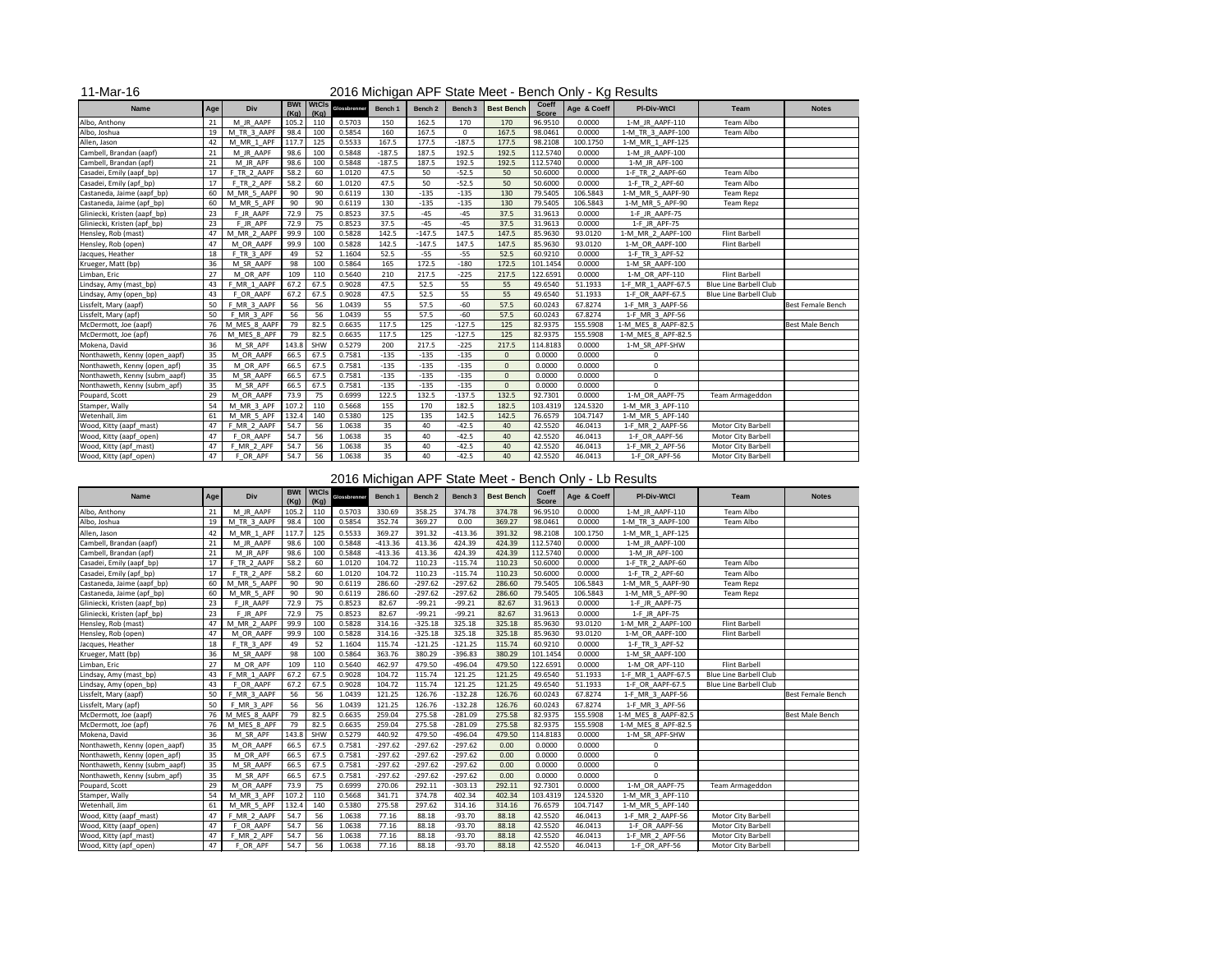| <b>Name</b>                   | Age | <b>Div</b>   | (Kg)  | <b>BWt</b> WtCls<br>(Kg) | Glossbrenner | Bench 1  | Bench 2  | Bench 3     | <b>Best Bench</b> | <b>Coeff</b><br><b>Score</b> | Age & Coeff | <b>PI-Div-WtCl</b>  | <b>Team</b>                   | <b>Notes</b>      |
|-------------------------------|-----|--------------|-------|--------------------------|--------------|----------|----------|-------------|-------------------|------------------------------|-------------|---------------------|-------------------------------|-------------------|
| Albo, Anthony                 | 21  | M JR AAPF    | 105.2 | 110                      | 0.5703       | 150      | 162.5    | 170         | 170               | 96.9510                      | 0.0000      | 1-M_JR_AAPF-110     | Team Albo                     |                   |
| Albo, Joshua                  | 19  | M TR 3 AAPF  | 98.4  | 100                      | 0.5854       | 160      | 167.5    | $\mathbf 0$ | 167.5             | 98.0461                      | 0.0000      | 1-M_TR_3_AAPF-100   | Team Albo                     |                   |
| Allen, Jason                  | 42  | M MR 1 APF   | 117.7 | 125                      | 0.5533       | 167.5    | 177.5    | $-187.5$    | 177.5             | 98.2108                      | 100.1750    | 1-M MR 1 APF-125    |                               |                   |
| Cambell, Brandan (aapf)       | 21  | M JR AAPF    | 98.6  | 100                      | 0.5848       | $-187.5$ | 187.5    | 192.5       | 192.5             | 112.5740                     | 0.0000      | 1-M JR AAPF-100     |                               |                   |
| Cambell, Brandan (apf)        | 21  | M JR APF     | 98.6  | 100                      | 0.5848       | $-187.5$ | 187.5    | 192.5       | 192.5             | 112.5740                     | 0.0000      | 1-M JR APF-100      |                               |                   |
| Casadei, Emily (aapf_bp)      | 17  | F TR 2 AAPF  | 58.2  | 60                       | 1.0120       | 47.5     | 50       | $-52.5$     | 50                | 50.6000                      | 0.0000      | 1-F_TR_2_AAPF-60    | Team Albo                     |                   |
| Casadei, Emily (apf_bp)       | 17  | F TR 2 APF   | 58.2  | 60                       | 1.0120       | 47.5     | 50       | $-52.5$     | 50                | 50.6000                      | 0.0000      | 1-F_TR_2_APF-60     | Team Albo                     |                   |
| Castaneda, Jaime (aapf_bp)    | 60  | M MR 5 AAPF  | 90    | 90                       | 0.6119       | 130      | $-135$   | $-135$      | 130               | 79.5405                      | 106.5843    | 1-M MR 5 AAPF-90    | <b>Team Repz</b>              |                   |
| Castaneda, Jaime (apf_bp)     | 60  | M MR 5 APF   | 90    | 90                       | 0.6119       | 130      | $-135$   | $-135$      | 130               | 79.5405                      | 106.5843    | 1-M_MR_5_APF-90     | Team Repz                     |                   |
| Gliniecki, Kristen (aapf_bp)  | 23  | F JR AAPF    | 72.9  | 75                       | 0.8523       | 37.5     | $-45$    | $-45$       | 37.5              | 31.9613                      | 0.0000      | 1-F JR AAPF-75      |                               |                   |
| Gliniecki, Kristen (apf_bp)   | 23  | F JR APF     | 72.9  | 75                       | 0.8523       | 37.5     | $-45$    | $-45$       | 37.5              | 31.9613                      | 0.0000      | 1-F JR APF-75       |                               |                   |
| Hensley, Rob (mast)           | 47  | M MR 2 AAPF  | 99.9  | 100                      | 0.5828       | 142.5    | $-147.5$ | 147.5       | 147.5             | 85.9630                      | 93.0120     | 1-M MR 2 AAPF-100   | <b>Flint Barbell</b>          |                   |
| Hensley, Rob (open)           | 47  | M OR AAPF    | 99.9  | 100                      | 0.5828       | 142.5    | $-147.5$ | 147.5       | 147.5             | 85.9630                      | 93.0120     | 1-M_OR_AAPF-100     | <b>Flint Barbell</b>          |                   |
| Jacques, Heather              | 18  | F TR 3 APF   | 49    | 52                       | 1.1604       | 52.5     | $-55$    | $-55$       | 52.5              | 60.9210                      | 0.0000      | 1-F_TR_3_APF-52     |                               |                   |
| Krueger, Matt (bp)            | 36  | M SR AAPF    | 98    | 100                      | 0.5864       | 165      | 172.5    | $-180$      | 172.5             | 101.1454                     | 0.0000      | 1-M SR AAPF-100     |                               |                   |
| Limban, Eric                  | 27  | M OR APF     | 109   | 110                      | 0.5640       | 210      | 217.5    | $-225$      | 217.5             | 122.6591                     | 0.0000      | 1-M_OR_APF-110      | <b>Flint Barbell</b>          |                   |
| Lindsay, Amy (mast_bp)        | 43  | F MR 1 AAPF  | 67.2  | 67.5                     | 0.9028       | 47.5     | 52.5     | 55          | 55                | 49.6540                      | 51.1933     | 1-F MR 1 AAPF-67.5  | <b>Blue Line Barbell Club</b> |                   |
| Lindsay, Amy (open_bp)        | 43  | F OR AAPF    | 67.2  | 67.5                     | 0.9028       | 47.5     | 52.5     | 55          | 55                | 49.6540                      | 51.1933     | 1-F_OR_AAPF-67.5    | <b>Blue Line Barbell Club</b> |                   |
| Lissfelt, Mary (aapf)         | 50  | F MR 3 AAPF  | 56    | 56                       | 1.0439       | 55       | 57.5     | $-60$       | 57.5              | 60.0243                      | 67.8274     | 1-F_MR_3_AAPF-56    |                               | Best Female Bench |
| Lissfelt, Mary (apf)          | 50  | F MR 3 APF   | 56    | 56                       | 1.0439       | 55       | 57.5     | $-60$       | 57.5              | 60.0243                      | 67.8274     | 1-F_MR_3_APF-56     |                               |                   |
| McDermott, Joe (aapf)         | 76  | M MES 8 AAPF | 79    | 82.5                     | 0.6635       | 117.5    | 125      | $-127.5$    | 125               | 82.9375                      | 155.5908    | 1-M_MES_8_AAPF-82.5 |                               | Best Male Bench   |
| McDermott, Joe (apf)          | 76  | M MES 8 APF  | 79    | 82.5                     | 0.6635       | 117.5    | 125      | $-127.5$    | 125               | 82.9375                      | 155.5908    | 1-M MES 8 APF-82.5  |                               |                   |
| Mokena, David                 | 36  | M SR APF     | 143.8 | SHW                      | 0.5279       | 200      | 217.5    | $-225$      | 217.5             | 114.8183                     | 0.0000      | 1-M SR APF-SHW      |                               |                   |
| Nonthaweth, Kenny (open_aapf) | 35  | M OR AAPF    | 66.5  | 67.5                     | 0.7581       | $-135$   | $-135$   | $-135$      | $\Omega$          | 0.0000                       | 0.0000      | 0                   |                               |                   |
| Nonthaweth, Kenny (open_apf)  | 35  | M OR APF     | 66.5  | 67.5                     | 0.7581       | $-135$   | $-135$   | $-135$      | $\mathbf{0}$      | 0.0000                       | 0.0000      | $\mathbf 0$         |                               |                   |
| Nonthaweth, Kenny (subm_aapf) | 35  | M SR AAPF    | 66.5  | 67.5                     | 0.7581       | $-135$   | $-135$   | $-135$      | $\mathbf 0$       | 0.0000                       | 0.0000      | $\mathbf 0$         |                               |                   |
| Nonthaweth, Kenny (subm_apf)  | 35  | M SR APF     | 66.5  | 67.5                     | 0.7581       | $-135$   | $-135$   | $-135$      | $\mathbf 0$       | 0.0000                       | 0.0000      | $\Omega$            |                               |                   |
| Poupard, Scott                | 29  | M_OR_AAPF    | 73.9  | 75                       | 0.6999       | 122.5    | 132.5    | $-137.5$    | 132.5             | 92.7301                      | 0.0000      | 1-M_OR_AAPF-75      | Team Armageddon               |                   |
| Stamper, Wally                | 54  | M MR 3 APF   | 107.2 | 110                      | 0.5668       | 155      | 170      | 182.5       | 182.5             | 103.4319                     | 124.5320    | 1-M MR 3 APF-110    |                               |                   |
| Wetenhall, Jim                | 61  | M_MR_5_APF   | 132.4 | 140                      | 0.5380       | 125      | 135      | 142.5       | 142.5             | 76.6579                      | 104.7147    | 1-M_MR_5_APF-140    |                               |                   |
| Wood, Kitty (aapf_mast)       | 47  | F MR 2 AAPF  | 54.7  | 56                       | 1.0638       | 35       | 40       | $-42.5$     | 40                | 42.5520                      | 46.0413     | 1-F_MR_2_AAPF-56    | Motor City Barbell            |                   |
| Wood, Kitty (aapf_open)       | 47  | F_OR_AAPF    | 54.7  | 56                       | 1.0638       | 35       | 40       | $-42.5$     | 40                | 42.5520                      | 46.0413     | 1-F_OR_AAPF-56      | Motor City Barbell            |                   |
| Wood, Kitty (apf_mast)        | 47  | F MR 2 APF   | 54.7  | 56                       | 1.0638       | 35       | 40       | $-42.5$     | 40                | 42.5520                      | 46.0413     | 1-F MR 2 APF-56     | Motor City Barbell            |                   |
| Wood, Kitty (apf_open)        | 47  | F_OR_APF     | 54.7  | 56                       | 1.0638       | 35       | 40       | $-42.5$     | 40                | 42.5520                      | 46.0413     | 1-F_OR_APF-56       | Motor City Barbell            |                   |

## 2016 Michigan APF State Meet - Bench Only - Lb Results

### 11-Mar-16 2016 Michigan APF State Meet - Bench Only - Kg Results

| <b>Name</b>                   | Age | <b>Div</b>   | (Kg)  | BWt   WtCls<br>(Kg) | Glossbrenner | Bench 1   | Bench 2   | Bench 3   | <b>Best Bench</b> | <b>Coeff</b><br><b>Score</b> | Age & Coeff | <b>PI-Div-WtCl</b>  | <b>Team</b>                   | <b>Notes</b>             |
|-------------------------------|-----|--------------|-------|---------------------|--------------|-----------|-----------|-----------|-------------------|------------------------------|-------------|---------------------|-------------------------------|--------------------------|
| Albo, Anthony                 | 21  | M JR AAPF    | 105.2 | 110                 | 0.5703       | 330.69    | 358.25    | 374.78    | 374.78            | 96.9510                      | 0.0000      | 1-M JR AAPF-110     | Team Albo                     |                          |
| Albo, Joshua                  | 19  | M TR 3 AAPF  | 98.4  | 100                 | 0.5854       | 352.74    | 369.27    | 0.00      | 369.27            | 98.0461                      | 0.0000      | 1-M TR 3_AAPF-100   | Team Albo                     |                          |
| Allen, Jason                  | 42  | M MR 1 APF   | 117.7 | 125                 | 0.5533       | 369.27    | 391.32    | $-413.36$ | 391.32            | 98.2108                      | 100.1750    | 1-M MR 1 APF-125    |                               |                          |
| Cambell, Brandan (aapf)       | 21  | M JR AAPF    | 98.6  | 100                 | 0.5848       | $-413.36$ | 413.36    | 424.39    | 424.39            | 112.5740                     | 0.0000      | 1-M JR AAPF-100     |                               |                          |
| Cambell, Brandan (apf)        | 21  | M JR APF     | 98.6  | 100                 | 0.5848       | $-413.36$ | 413.36    | 424.39    | 424.39            | 112.5740                     | 0.0000      | 1-M JR APF-100      |                               |                          |
| Casadei, Emily (aapf_bp)      | 17  | F TR 2 AAPF  | 58.2  | 60                  | 1.0120       | 104.72    | 110.23    | $-115.74$ | 110.23            | 50.6000                      | 0.0000      | 1-F TR_2_AAPF-60    | Team Albo                     |                          |
| Casadei, Emily (apf_bp)       | 17  | F TR 2 APF   | 58.2  | 60                  | 1.0120       | 104.72    | 110.23    | $-115.74$ | 110.23            | 50.6000                      | 0.0000      | 1-F TR_2_APF-60     | Team Albo                     |                          |
| Castaneda, Jaime (aapf_bp)    | 60  | M MR 5 AAPF  | 90    | 90                  | 0.6119       | 286.60    | $-297.62$ | $-297.62$ | 286.60            | 79.5405                      | 106.5843    | 1-M_MR_5_AAPF-90    | Team Repz                     |                          |
| Castaneda, Jaime (apf_bp)     | 60  | M MR 5 APF   | 90    | 90                  | 0.6119       | 286.60    | $-297.62$ | $-297.62$ | 286.60            | 79.5405                      | 106.5843    | 1-M_MR_5_APF-90     | Team Repz                     |                          |
| Gliniecki, Kristen (aapf_bp)  | 23  | F JR AAPF    | 72.9  | 75                  | 0.8523       | 82.67     | $-99.21$  | $-99.21$  | 82.67             | 31.9613                      | 0.0000      | 1-F JR AAPF-75      |                               |                          |
| Gliniecki, Kristen (apf_bp)   | 23  | F JR APF     | 72.9  | 75                  | 0.8523       | 82.67     | $-99.21$  | $-99.21$  | 82.67             | 31.9613                      | 0.0000      | 1-F_JR_APF-75       |                               |                          |
| Hensley, Rob (mast)           | 47  | M MR 2 AAPF  | 99.9  | 100                 | 0.5828       | 314.16    | $-325.18$ | 325.18    | 325.18            | 85.9630                      | 93.0120     | 1-M_MR_2_AAPF-100   | Flint Barbell                 |                          |
| Hensley, Rob (open)           | 47  | M OR AAPF    | 99.9  | 100                 | 0.5828       | 314.16    | $-325.18$ | 325.18    | 325.18            | 85.9630                      | 93.0120     | 1-M OR AAPF-100     | Flint Barbell                 |                          |
| Jacques, Heather              | 18  | F TR 3 APF   | 49    | 52                  | 1.1604       | 115.74    | $-121.25$ | $-121.25$ | 115.74            | 60.9210                      | 0.0000      | 1-F TR 3 APF-52     |                               |                          |
| Krueger, Matt (bp)            | 36  | M SR AAPF    | 98    | 100                 | 0.5864       | 363.76    | 380.29    | $-396.83$ | 380.29            | 101.1454                     | 0.0000      | 1-M_SR_AAPF-100     |                               |                          |
| Limban, Eric                  | 27  | M OR APF     | 109   | 110                 | 0.5640       | 462.97    | 479.50    | $-496.04$ | 479.50            | 122.6591                     | 0.0000      | 1-M_OR_APF-110      | <b>Flint Barbell</b>          |                          |
| indsay, Amy (mast_bp)         | 43  | F MR 1 AAPF  | 67.2  | 67.5                | 0.9028       | 104.72    | 115.74    | 121.25    | 121.25            | 49.6540                      | 51.1933     | 1-F_MR_1_AAPF-67.5  | <b>Blue Line Barbell Club</b> |                          |
| .indsay, Amy (open_bp)        | 43  | F OR AAPF    | 67.2  | 67.5                | 0.9028       | 104.72    | 115.74    | 121.25    | 121.25            | 49.6540                      | 51.1933     | 1-F OR AAPF-67.5    | Blue Line Barbell Club        |                          |
| Lissfelt, Mary (aapf)         | 50  | F MR 3 AAPF  | 56    | 56                  | 1.0439       | 121.25    | 126.76    | $-132.28$ | 126.76            | 60.0243                      | 67.8274     | 1-F_MR_3_AAPF-56    |                               | <b>Best Female Bench</b> |
| Lissfelt, Mary (apf)          | 50  | F MR 3 APF   | 56    | 56                  | 1.0439       | 121.25    | 126.76    | $-132.28$ | 126.76            | 60.0243                      | 67.8274     | 1-F_MR_3_APF-56     |                               |                          |
| McDermott, Joe (aapf)         | 76  | M MES 8 AAPF | 79    | 82.5                | 0.6635       | 259.04    | 275.58    | $-281.09$ | 275.58            | 82.9375                      | 155.5908    | 1-M_MES_8_AAPF-82.5 |                               | <b>Best Male Bench</b>   |
| McDermott, Joe (apf)          | 76  | M MES 8 APF  | 79    | 82.5                | 0.6635       | 259.04    | 275.58    | $-281.09$ | 275.58            | 82.9375                      | 155.5908    | 1-M_MES_8_APF-82.5  |                               |                          |
| Mokena, David                 | 36  | M SR APF     | 143.8 | SHW                 | 0.5279       | 440.92    | 479.50    | $-496.04$ | 479.50            | 114.8183                     | 0.0000      | 1-M SR APF-SHW      |                               |                          |
| Nonthaweth, Kenny (open_aapf) | 35  | M OR AAPF    | 66.5  | 67.5                | 0.7581       | $-297.62$ | $-297.62$ | $-297.62$ | 0.00              | 0.0000                       | 0.0000      | 0                   |                               |                          |
| Nonthaweth, Kenny (open_apf)  | 35  | M OR APF     | 66.5  | 67.5                | 0.7581       | $-297.62$ | $-297.62$ | $-297.62$ | 0.00              | 0.0000                       | 0.0000      | $\mathbf 0$         |                               |                          |
| Nonthaweth, Kenny (subm aapf) | 35  | M SR AAPF    | 66.5  | 67.5                | 0.7581       | $-297.62$ | $-297.62$ | $-297.62$ | 0.00              | 0.0000                       | 0.0000      | $\mathbf 0$         |                               |                          |
| Nonthaweth, Kenny (subm_apf)  | 35  | M SR APF     | 66.5  | 67.5                | 0.7581       | $-297.62$ | $-297.62$ | $-297.62$ | 0.00              | 0.0000                       | 0.0000      | $\mathbf 0$         |                               |                          |
| Poupard, Scott                | 29  | M OR AAPF    | 73.9  | 75                  | 0.6999       | 270.06    | 292.11    | $-303.13$ | 292.11            | 92.7301                      | 0.0000      | 1-M OR AAPF-75      | Team Armageddon               |                          |
| Stamper, Wally                | 54  | M_MR_3_APF   | 107.2 | 110                 | 0.5668       | 341.71    | 374.78    | 402.34    | 402.34            | 103.4319                     | 124.5320    | 1-M MR 3 APF-110    |                               |                          |
| Wetenhall, Jim                | 61  | $M_MR_5_APF$ | 132.4 | 140                 | 0.5380       | 275.58    | 297.62    | 314.16    | 314.16            | 76.6579                      | 104.7147    | 1-M_MR_5_APF-140    |                               |                          |
| Wood, Kitty (aapf_mast)       | 47  | F MR 2 AAPF  | 54.7  | 56                  | 1.0638       | 77.16     | 88.18     | $-93.70$  | 88.18             | 42.5520                      | 46.0413     | 1-F_MR_2_AAPF-56    | Motor City Barbell            |                          |
| Wood, Kitty (aapf_open)       | 47  | F OR AAPF    | 54.7  | 56                  | 1.0638       | 77.16     | 88.18     | $-93.70$  | 88.18             | 42.5520                      | 46.0413     | 1-F OR AAPF-56      | Motor City Barbell            |                          |
| Wood, Kitty (apf_mast)        | 47  | F_MR_2_APF   | 54.7  | 56                  | 1.0638       | 77.16     | 88.18     | $-93.70$  | 88.18             | 42.5520                      | 46.0413     | 1-F_MR_2_APF-56     | Motor City Barbell            |                          |
| Wood, Kitty (apf_open)        | 47  | F_OR_APF     | 54.7  | 56                  | 1.0638       | 77.16     | 88.18     | $-93.70$  | 88.18             | 42.5520                      | 46.0413     | 1-F_OR_APF-56       | Motor City Barbell            |                          |
|                               |     |              |       |                     |              |           |           |           |                   |                              |             |                     |                               |                          |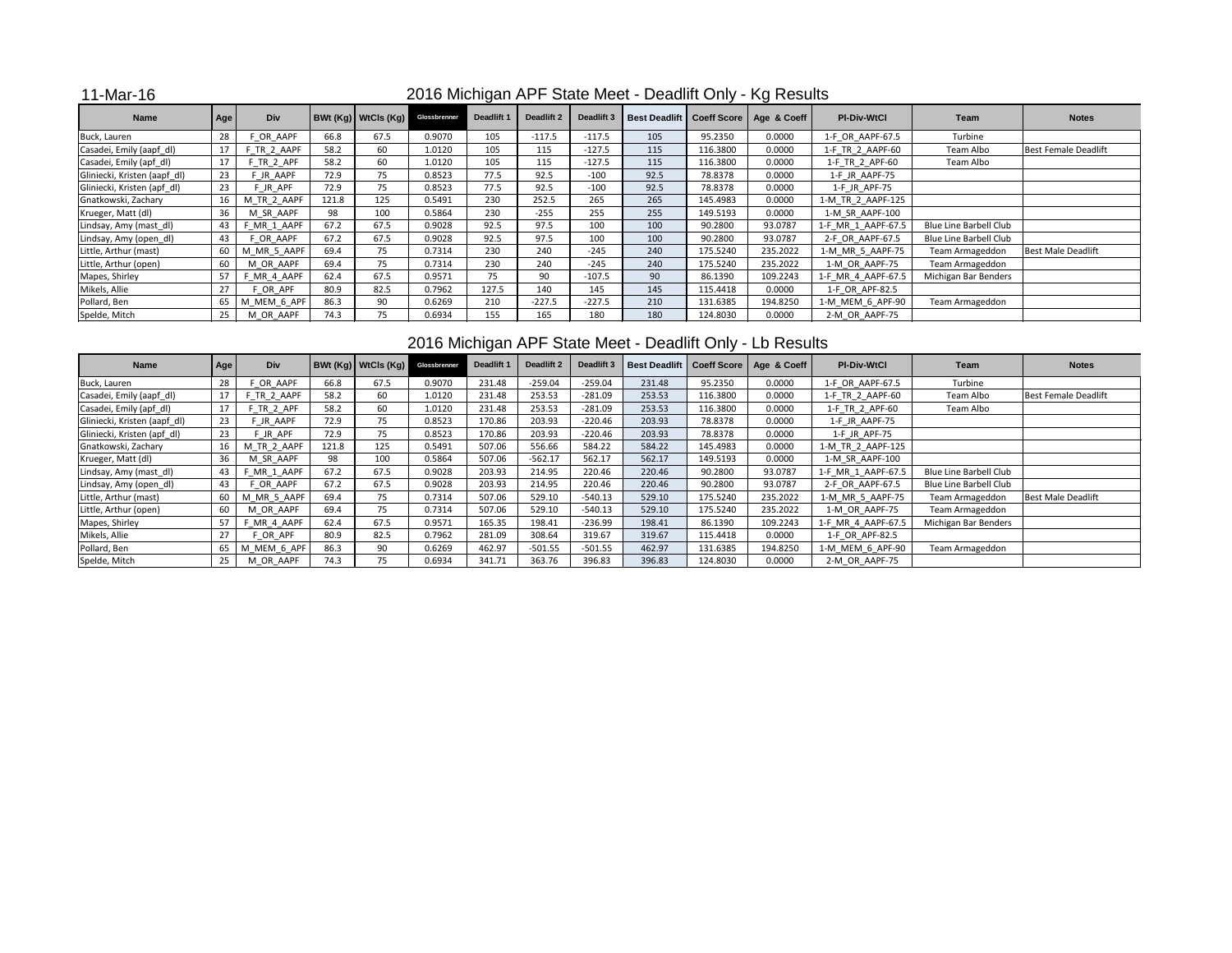### 11-Mar-16

| <b>Name</b>                  | Age | <b>Div</b>  |       | <b>BWt (Kg)   WtCIs (Kg) Glossbrenner</b> |        | <b>Deadlift 1</b> | <b>Deadlift 2</b> | Deadlift 3 |      |          | Best Deadlift   Coeff Score   Age & Coeff | <b>PI-Div-WtCl</b> | Team                          | <b>Notes</b>                |
|------------------------------|-----|-------------|-------|-------------------------------------------|--------|-------------------|-------------------|------------|------|----------|-------------------------------------------|--------------------|-------------------------------|-----------------------------|
| Buck, Lauren                 | 28  | OR AAPF     | 66.8  | 67.5                                      | 0.9070 | 105               | $-117.5$          | $-117.5$   | 105  | 95.2350  | 0.0000                                    | 1-F_OR_AAPF-67.5   | Turbine                       |                             |
| Casadei, Emily (aapf_dl)     | 17  | F TR 2 AAPF | 58.2  | 60                                        | 1.0120 | 105               | 115               | $-127.5$   | 115  | 116.3800 | 0.0000                                    | 1-F TR 2 AAPF-60   | Team Albo                     | <b>Best Female Deadlift</b> |
| Casadei, Emily (apf_dl)      | 17  | TR 2 APF    | 58.2  | 60                                        | 1.0120 | 105               | 115               | $-127.5$   | 115  | 116.3800 | 0.0000                                    | 1-F TR 2 APF-60    | Team Albo                     |                             |
| Gliniecki, Kristen (aapf_dl) | 23  | JR AAPF     | 72.9  | 75                                        | 0.8523 | 77.5              | 92.5              | $-100$     | 92.5 | 78.8378  | 0.0000                                    | 1-F JR AAPF-75     |                               |                             |
| Gliniecki, Kristen (apf_dl)  | 23  | F JR APF    | 72.9  | 75                                        | 0.8523 | 77.5              | 92.5              | $-100$     | 92.5 | 78.8378  | 0.0000                                    | 1-F JR APF-75      |                               |                             |
| Gnatkowski, Zachary          | 16  | M TR 2 AAPF | 121.8 | 125                                       | 0.5491 | 230               | 252.5             | 265        | 265  | 145.4983 | 0.0000                                    | 1-M_TR_2_AAPF-125  |                               |                             |
| Krueger, Matt (dl)           | 36  | M SR AAPF   | 98    | 100                                       | 0.5864 | 230               | $-255$            | 255        | 255  | 149.5193 | 0.0000                                    | 1-M_SR_AAPF-100    |                               |                             |
| Lindsay, Amy (mast_dl)       | 43  | F MR 1 AAPF | 67.2  | 67.5                                      | 0.9028 | 92.5              | 97.5              | 100        | 100  | 90.2800  | 93.0787                                   | 1-F MR 1 AAPF-67.5 | <b>Blue Line Barbell Club</b> |                             |
| Lindsay, Amy (open_dl)       | 43  | OR AAPF     | 67.2  | 67.5                                      | 0.9028 | 92.5              | 97.5              | 100        | 100  | 90.2800  | 93.0787                                   | 2-F OR AAPF-67.5   | <b>Blue Line Barbell Club</b> |                             |
| Little, Arthur (mast)        | 60  | M MR 5 AAPF | 69.4  | 75                                        | 0.7314 | 230               | 240               | $-245$     | 240  | 175.5240 | 235.2022                                  | 1-M MR 5 AAPF-75   | Team Armageddon               | <b>Best Male Deadlift</b>   |
| Little, Arthur (open)        | 60  | M OR AAPF   | 69.4  | 75                                        | 0.7314 | 230               | 240               | $-245$     | 240  | 175.5240 | 235.2022                                  | 1-M OR AAPF-75     | Team Armageddon               |                             |
| Mapes, Shirley               | 57  | F MR 4 AAPF | 62.4  | 67.5                                      | 0.9571 | 75                | 90                | $-107.5$   | 90   | 86.1390  | 109.2243                                  | 1-F MR 4 AAPF-67.5 | Michigan Bar Benders          |                             |
| Mikels, Allie                | 27  | F OR APF    | 80.9  | 82.5                                      | 0.7962 | 127.5             | 140               | 145        | 145  | 115.4418 | 0.0000                                    | 1-F OR APF-82.5    |                               |                             |
| Pollard, Ben                 | 65  | M MEM 6 APF | 86.3  | 90                                        | 0.6269 | 210               | $-227.5$          | $-227.5$   | 210  | 131.6385 | 194.8250                                  | 1-M MEM 6 APF-90   | Team Armageddon               |                             |
| Spelde, Mitch                | 25  | M OR AAPF   | 74.3  | 75                                        | 0.6934 | 155               | 165               | 180        | 180  | 124.8030 | 0.0000                                    | 2-M OR AAPF-75     |                               |                             |

### 2016 Michigan APF State Meet - Deadlift Only - Lb Results

| <b>Name</b>                  | Age | <b>Div</b>  |       | $B Wt (Kg)$ WtCls $(Kg)$ | Glossbrenner | <b>Deadlift 1</b> | <b>Deadlift 2</b> | Deadlift 3 | <b>Best Deadlift</b> |          | Coeff Score   Age & Coeff | <b>PI-Div-WtCl</b> | Team                          | <b>Notes</b>                |
|------------------------------|-----|-------------|-------|--------------------------|--------------|-------------------|-------------------|------------|----------------------|----------|---------------------------|--------------------|-------------------------------|-----------------------------|
| Buck, Lauren                 | 28  | OR AAPF     | 66.8  | 67.5                     | 0.9070       | 231.48            | $-259.04$         | $-259.04$  | 231.48               | 95.2350  | 0.0000                    | 1-F OR AAPF-67.5   | Turbine                       |                             |
| Casadei, Emily (aapf_dl)     | 17  | TR 2 AAPF   | 58.2  | 60                       | 1.0120       | 231.48            | 253.53            | $-281.09$  | 253.53               | 116.3800 | 0.0000                    | 1-F TR 2 AAPF-60   | Team Albo                     | <b>Best Female Deadlift</b> |
| Casadei, Emily (apf_dl)      | 17  | F TR 2 APF  | 58.2  | 60                       | 1.0120       | 231.48            | 253.53            | $-281.09$  | 253.53               | 116.3800 | 0.0000                    | 1-F TR 2 APF-60    | Team Albo                     |                             |
| Gliniecki, Kristen (aapf_dl) | 23  | F JR AAPF   | 72.9  | 75                       | 0.8523       | 170.86            | 203.93            | $-220.46$  | 203.93               | 78.8378  | 0.0000                    | 1-F JR AAPF-75     |                               |                             |
| Gliniecki, Kristen (apf_dl)  | 23  | FJR APF     | 72.9  | 75                       | 0.8523       | 170.86            | 203.93            | $-220.46$  | 203.93               | 78.8378  | 0.0000                    | 1-F JR APF-75      |                               |                             |
| Gnatkowski, Zachary          | 16  | M TR 2 AAPF | 121.8 | 125                      | 0.5491       | 507.06            | 556.66            | 584.22     | 584.22               | 145.4983 | 0.0000                    | 1-M_TR_2_AAPF-125  |                               |                             |
| Krueger, Matt (dl)           | 36  | M SR AAPF   | 98    | 100                      | 0.5864       | 507.06            | $-562.17$         | 562.17     | 562.17               | 149.5193 | 0.0000                    | 1-M SR AAPF-100    |                               |                             |
| Lindsay, Amy (mast_dl)       | 43  | MR 1 AAPF   | 67.2  | 67.5                     | 0.9028       | 203.93            | 214.95            | 220.46     | 220.46               | 90.2800  | 93.0787                   | 1-F_MR_1_AAPF-67.5 | <b>Blue Line Barbell Club</b> |                             |
| Lindsay, Amy (open_dl)       | 43  | F OR AAPF   | 67.2  | 67.5                     | 0.9028       | 203.93            | 214.95            | 220.46     | 220.46               | 90.2800  | 93.0787                   | 2-F_OR_AAPF-67.5   | <b>Blue Line Barbell Club</b> |                             |
| Little, Arthur (mast)        | 60  | M MR 5 AAPF | 69.4  | 75                       | 0.7314       | 507.06            | 529.10            | $-540.13$  | 529.10               | 175.5240 | 235.2022                  | 1-M_MR_5_AAPF-75   | Team Armageddon               | <b>Best Male Deadlift</b>   |
| Little, Arthur (open)        | 60  | M OR AAPF   | 69.4  | 75                       | 0.7314       | 507.06            | 529.10            | $-540.13$  | 529.10               | 175.5240 | 235.2022                  | 1-M OR AAPF-75     | Team Armageddon               |                             |
| Mapes, Shirley               | 57  | MR 4 AAPF   | 62.4  | 67.5                     | 0.9571       | 165.35            | 198.41            | $-236.99$  | 198.41               | 86.1390  | 109.2243                  | 1-F_MR_4_AAPF-67.5 | Michigan Bar Benders          |                             |
| Mikels, Allie                | 27  | OR APF      | 80.9  | 82.5                     | 0.7962       | 281.09            | 308.64            | 319.67     | 319.67               | 115.4418 | 0.0000                    | 1-F OR APF-82.5    |                               |                             |
| Pollard, Ben                 | 65  | M_MEM_6_APF | 86.3  | 90                       | 0.6269       | 462.97            | $-501.55$         | $-501.55$  | 462.97               | 131.6385 | 194.8250                  | 1-M_MEM_6_APF-90   | Team Armageddon               |                             |
| Spelde, Mitch                | 25  | M OR AAPF   | 74.3  | 75                       | 0.6934       | 341.71            | 363.76            | 396.83     | 396.83               | 124.8030 | 0.0000                    | 2-M OR AAPF-75     |                               |                             |

## 2016 Michigan APF State Meet - Deadlift Only - Kg Results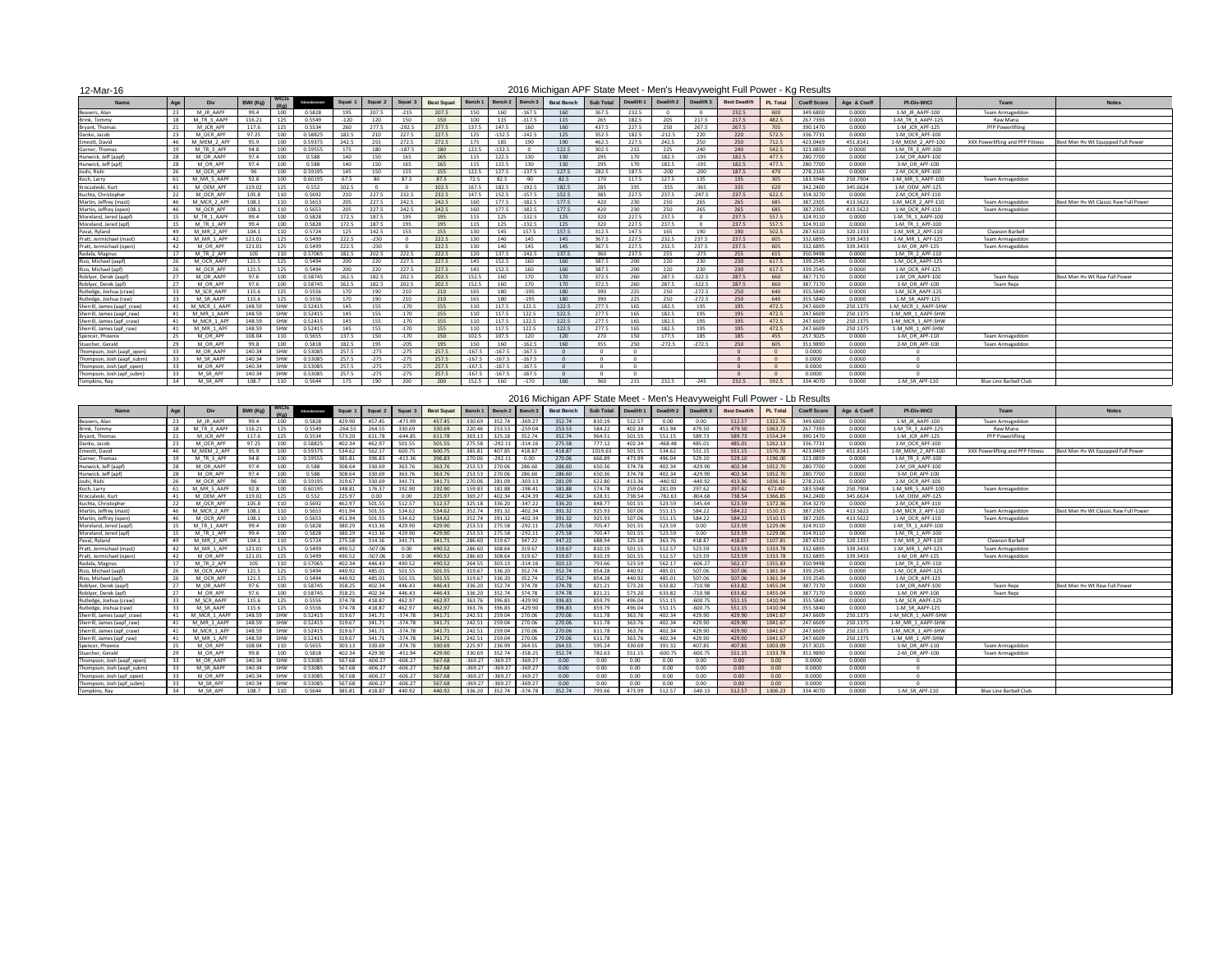### 12-Mar-16

| $ \cdots$ $\cdots$          |      |              |          |            |              |              |         |          |                   |          |          |          |                   |                  |            |            |                   |                                                                        |                 |                    |             |                    |                                  |                                       |
|-----------------------------|------|--------------|----------|------------|--------------|--------------|---------|----------|-------------------|----------|----------|----------|-------------------|------------------|------------|------------|-------------------|------------------------------------------------------------------------|-----------------|--------------------|-------------|--------------------|----------------------------------|---------------------------------------|
| <b>Name</b>                 | Age  | <b>Div</b>   | BWt (Kg) | (Ka)       | Glossbrenner | <b>Squat</b> | Squat 2 | Squat 3  | <b>Best Squat</b> | Bench 1  | Bench 2  | Bench 3  | <b>Best Bench</b> | <b>Sub Total</b> | Deadlift 1 | Deadlift 2 | <b>Deadlift 3</b> | <b>Best Deadlift</b>                                                   | <b>PL Total</b> | <b>Coeff Score</b> | Age & Coeff | <b>PI-Div-WtCl</b> | <b>Team</b>                      | <b>Notes</b>                          |
| Beavers, Alan               |      | M JR AAPF    | 99.4     | 100        | 0.5828       | 195          | 207.5   | $-215$   | 207.5             | 150      | 160      | -167.5   | 160               | 367.5            | 232.5      |            |                   | 232.5                                                                  | 600             | 349.6800           | 0.0000      | 1-M JR AAPF-100    | <b>Team Armageddon</b>           |                                       |
| Brink, Tommy                | -18  | M TR 3 AAPF  | 116.21   | 125        | 0.5549       | $-120$       | 120     | 150      | 150               | 100      | 115      | $-117.5$ | 115               | 265              | 182.5      | 205        | 217.5             | 217.5                                                                  | 482.5           | 267.7393           | 0.0000      | 1-M TR 3 AAPF-125  | Raw Mana                         |                                       |
| Bryant, Thomas              | 21   | M_JCR_APF    | 117.6    | 125        | 0.5534       | 260          | 277.5   | $-292.5$ | 277.5             | 137.5    | 147.5    | 160      | 160               | 437.5            | 227.5      | 250        | 267.5             | 267.5                                                                  | 705             | 390.1470           | 0.0000      | 1-M JCR APF-125    | PFP Powerlifting                 |                                       |
| Danko, Jacob                | - 23 | M OCR APF    | 97.25    | 100        | 0.58825      | 182.5        | 210     | 227.5    | 227.5             | 125      | $-132.5$ | $-142.5$ | 125               | 352.5            | 182.5      | $-212.5$   | 220               | 220                                                                    | 572.5           | 336.7731           | 0.0000      | 1-M OCR APF-100    |                                  |                                       |
| Emeott, David               | -46  | M MEM 2 APF  | 95.9     | 100        | 0.59375      | 242.5        | 255     | 272.5    | 272.5             | 175      | 185      | 190      | 190               | 462.5            | 227.5      | 242.5      | 250               | 250                                                                    | 712.5           | 423.0469           | 451.8141    | 1-M MEM 2 APF-100  | XXX Powerlifting and PFP Fitness | Best Men Hy Wt Equipped Full Power    |
| Garner, Thomas              | -19  | M TR 3 APF   | 94.8     | 100        | 0.59555      | 175          | 180     | $-187.5$ | 180               | 122.5    | 132.5    |          | 122.5             | 302.5            | 215        | 225        | 240               | 240                                                                    | 542.5           | 323.0859           | 0.0000      | 1-M TR 3 APF-100   |                                  |                                       |
| Hunwick, Jeff (aapf         | - 28 | M OR AAPF    | 97.4     | 100        | 0.588        | 140          | 150     | 165      | 165               | 115      | L22.5    | 130      | 130               | 295              | 170        | 182.5      | $-195$            | 182.5                                                                  | 477.            | 280.7700           | 0.0000      | 2-M OR AAPF-100    |                                  |                                       |
| Hunwick, Jeff (apf)         | - 28 | M OR APF     | 97.4     | 100        | 0.588        | 140          | 150     | 165      | 165               | 115      | 122.5    | 130      | 130               | 295              | 170        | 182.5      | $-195$            | 182.5                                                                  | 477.5           | 280.7700           | 0.0000      | 3-M OR APF-100     |                                  |                                       |
| Joshi, Rishi                | -26  | M OCR APF    | 96       | 100        | 0.59195      | 145          | 150     | 155      | 155               | 122.5    | 127.5    | $-137.5$ | 127.5             | 282.5            | 187.5      | $-200$     | $-200$            | 187.5                                                                  | 470             | 278.2165           | 0.0000      | 2-M OCR APF-100    |                                  |                                       |
| Koch, Larry                 | - 61 | M MR 5 AAPF  | 92.8     | 100        | 0.60195      | 67.5         | -80     | 87.5     | 87.5              | 72.5     | 82.5     | -90      | 82.5              | 170              | 117.5      | 127.5      | 135               | 135                                                                    | ിറ              | 183.5948           | 250.7904    | 1-M MR 5 AAPF-100  | Team Armageddon                  |                                       |
| Kroczaleski, Kurt           | -41  | M OEM APF    | 119.02   | 125        | 0.552        | 102.5        | - റ     | - 0      | 102.5             | 167.5    | 182.5    | $-192.5$ | 182.5             | 285              | 335        | $-355$     | $-365$            | 335                                                                    | 620             | 342.2400           | 345.6624    | 1-M OEM APF-125    |                                  |                                       |
| Kuchta, Christopher         |      | M OCR APF    | 105.8    | 110        | 0.5692       | 210          | 227.5   | 232.5    | 232.5             | 147.5    | L52.5    | -157.5   | 152.5             | 385              | 227.5      | 237.5      | $-247.5$          | 237.5                                                                  | 622.            | 354.3270           | 0.0000      | 2-M OCR APF-110    |                                  |                                       |
| Martin, Jeffrey (mast)      |      | M MCR 2 APF  | 108.1    | 110        | 0.5653       | 205          | 227.5   | 242.5    | 242.5             | 160      | 177.5    | 182.5    | 177.5             | 420              | 230        | 250        | 265               | 265                                                                    | 68              | 387.2305           | 413.5622    | 1-M MCR 2 APF-110  | Team Armageddon                  | Best Men Hv Wt Classic Raw Full Power |
| Martin, Jeffrey (open)      | -46  | M OCR APF    | 108.1    | 110        | 0.5653       | 205          | 227.5   | 242.5    | 242.5             | 160      | 177.5    | $-182.5$ | 177.5             | 420              | 230        | 250        | 265               | 265                                                                    | 685             | 387.2305           | 413.5622    | 1-M OCR APF-110    | Team Armageddon                  |                                       |
| Moreland, Jered (aapf)      | -15  | M TR 1 AAPF  | 99.4     | 100        | 0.5828       | 172.5        | 187.5   | 195      | 195               | 115      | 125      | $-132.5$ | 125               | 320              | 227.5      | 237.5      |                   | 237.5                                                                  | 557.5           | 324.9110           | 0.0000      | 1-M TR 1 AAPF-100  |                                  |                                       |
| Moreland, Jered (apf)       |      | M TR 1 APF   | 99.4     | 100        | 0.5828       | 172.5        | 187.5   | 195      | 195               | 115      | 125      | $-132.5$ | 125               | 320              | 227.5      | 237.5      |                   | 237.5                                                                  | 557.5           | 324.9110           | 0.0000      | 1-M TR 1 APF-100   |                                  |                                       |
| Paval, Ryland               | - 49 | M MR 2 APF   | 104.1    | 110        | 0.5724       | 125          | 142.5   | 155      | 155               | 130      | 145      | 157.5    | 157.5             | 312.5            | 147.5      | 165        | 190               | 190                                                                    | 502.5           | 287.6310           | 320.1333    | 1-M MR 2 APF-110   | Clawson Barbell                  |                                       |
| Pratt, Jermichael (mast)    |      | M MR 1 APF   | 121.01   | 125        | 0.5499       | 222.5        | $-230$  |          | 222.5             | 130      | 140      | 145      | 145               | 367.5            | 227.5      | 232.5      | 237.5             | 237.5                                                                  | 605             | 332.6895           | 339.3433    | 1-M MR 1 APF-125   | Team Armageddon                  |                                       |
| Pratt, Jermichael (open)    | - 42 | M OR API     | 121.01   | 125        | 0.5499       | 222.5        | $-230$  | - 0      | 222.5             | 130      | 140      | 145      | 145               | 367.5            | 227.5      | 232.5      | 237.5             | 237.5                                                                  | 60              | 332.6895           | 339.3433    | 1-M OR APF-125     | Team Armageddon                  |                                       |
| Radala, Magnus              | -17  | M TR 2 APF   | 105      | 110        | 0.57065      | 182.5        | 202.5   | 222.5    | 222.5             | 120      | 137.5    | $-142.5$ | 137.5             | 360              | 237.5      | 255        | $-275$            | 255                                                                    | 615             | 350.9498           | 0.0000      | 1-M TR 2 APF-110   |                                  |                                       |
| Rizo, Michael (aapf)        | - 26 | M OCR AAPF   | 121.5    | 125        | 0.5494       | 200          | 220     | 227.5    | 227.5             | 145      | 152.5    | 160      | 160               | 387.5            | 200        | 220        | 230               | 230                                                                    | 617.5           | 339.2545           | 0.0000      | 1-M OCR AAPF-125   |                                  |                                       |
| Rizo, Michael (apf)         |      | M OCR APF    | 121.5    | 125        | 0.5494       | 200          | 220     | 227.5    | 227.5             | 145      | 152.5    | 160      | 160               | 387.5            | 200        | 220        | 230               | 230                                                                    | 617.5           | 339.2545           | 0.0000      | 1-M OCR APF-125    |                                  |                                       |
| Roblyer, Derek (aapf)       | - 27 | M OR AAPF    | 97.6     | 100        | 0.58745      | 162.5        | 182.5   | 202.5    | 202.5             | 152.5    | 160      | 170      | 170               | 372.5            | 260        | 287.5      | $-322.5$          | 287.5                                                                  | 660             | 387.7170           | 0.0000      | 1-M OR AAPF-100    | <b>Team Repz</b>                 | Best Men Hv Wt Raw Full Powe          |
| Roblyer, Derek (apf)        |      | M OR APF     | 97.6     | 100        | 0.58745      | 162.5        | 182.5   | 202.5    | 202.5             | 152.5    | 160      | 170      | 170               | 372.5            | 260        | 287.5      | $-322.5$          | 287.5                                                                  | 660             | 387.7170           | 0.0000      | 1-M OR APF-100     | <b>Team Repz</b>                 |                                       |
| Rutledge, Joshua (craw)     | -33  | M SCR AAPF   | 115.6    | 125        | 0.5556       | 170          | 190     | 210      | 210               | 165      | 180      | $-195$   | 180               | 390              | 225        | 250        | $-272.5$          | 250                                                                    | 640             | 355.5840           | 0.0000      | 1-M SCR AAPF-125   |                                  |                                       |
| Rutledge, Joshua (raw)      | - 33 | M SR AAPF    | 115.6    | 125        | 0.5556       | 170          | 190     | 210      | 210               | 165      | 180      | $-195$   | 180               | 390              | 225        | 250        | $-272.5$          | 250                                                                    | 640             | 355.5840           | 0.0000      | 1-M SR AAPF-125    |                                  |                                       |
| Sherrill, James (aapf craw) | -41  | M MCR 1 AAPF | 148.59   | <b>SHW</b> | 0.52415      | 145          | 155     | $-170$   | 155               | 110      | 117.5    | 122.5    | 122.5             | 277.5            | 165        | 182.5      | 195               | 195                                                                    | 472.5           | 247.6609           | 250.1375    | 1-M MCR 1 AAPF-SHW |                                  |                                       |
| Sherrill, James (aapf_raw)  |      | M MR 1 AAPF  | 148.59   | <b>SHW</b> | 0.52415      | 145          | 155     | $-170$   | 155               | 110      | L17.5    | 122.5    | 122.5             | 277.5            | 165        | 182.5      | 195               | 195                                                                    | 472.5           | 247.6609           | 250.1375    | 1-M MR 1 AAPF-SHW  |                                  |                                       |
| Sherrill, James (apf_craw)  | -41  | M MCR 1 APF  | 148.59   | SHW        | 0.52415      | 145          | 155     | $-170$   | 155               | 110      |          | 122.5    | 122.5             | 277.5            | 165        | 182.5      | 195               | 195                                                                    | 472.5           | 247.6609           | 250.1375    | 1-M MCR 1 APF-SHW  |                                  |                                       |
| Sherrill, James (apf raw)   | -41  | M MR 1 APF   | 148.59   | SHW        | 0.52415      | 145          | 155     | $-170$   | 155               | 110      | 117.5    | 122.5    | 122.5             | 277.5            | 165        | 182.5      |                   | 195                                                                    | 472.5           | 247.6609           | 250.1375    | 1-M MR 1 APF-SHW   |                                  |                                       |
| Spencer, Phoenix            | 25   | M OR APF     | 108.04   | 110        | 0.5655       | 137.5        | 150     | $-170$   | 150               | 102.5    | 107.5    | 120      | 120               | 270              | 150        | 177.5      | 185               | 185                                                                    | 455             | 257.3025           | 0.0000      | 1-M OR APF-110     | Team Armageddon                  |                                       |
| Stuecher, Gerald            | 29   | M_OR_APF     | 99.8     | 100        | 0.5818       | 182.5        | 195     | $-205$   | 195               | 150      | 160      | $-162.5$ | 160               | 355              | 250        | $-272.5$   | $-272.5$          | 250                                                                    | 605             | 351.9890           | 0.0000      | 2-M_OR_APF-100     | Team Armageddon                  |                                       |
| Thompson, Josh (aapf_open)  | - 33 | M OR AAPF    | 140.34   | SHW        | 0.53085      | 257.5        | $-275$  | $-275$   | 257.5             | $-167.5$ | $-167.5$ | $-167.5$ |                   |                  | റ          |            |                   | $\Omega$                                                               |                 | 0.0000             | 0.0000      |                    |                                  |                                       |
| Thompson, Josh (aapf_subm)  | - 33 | M_SR_AAPF    | 140.34   | SHW        | 0.53085      | 257.5        | $-275$  | $-275$   | 257.5             | $-167.5$ | $-167.5$ | $-167.5$ |                   |                  | $\Omega$   |            |                   | $\Omega$                                                               | - റ             | 0.0000             | 0.0000      |                    |                                  |                                       |
| Thompson, Josh (apf_open)   | - 33 | M OR APF     | 140.34   | SHW        | 0.53085      | 257.5        | $-275$  | $-275$   | 257.5             | $-167.5$ | $-167.5$ | $-167.5$ |                   |                  |            |            |                   |                                                                        |                 | 0.0000             | 0.0000      |                    |                                  |                                       |
| Thompson, Josh (apf_subm)   |      | M SR APF     | 140.34   | SHW        | 0.53085      | 257.5        | $-275$  | $-275$   | 257.5             | $-167.5$ | $-167.5$ | $-167.5$ |                   |                  | $\cap$     |            |                   | $\Omega$                                                               |                 | 0.0000             | 0.0000      |                    |                                  |                                       |
| Tompkins, Ray               | 34   | M_SR_APF     | 108.7    | 110        | 0.5644       | 175          | 190     | 200      | 200               | 152.5    | 160      | $-170$   | 160               | 360              | 215        | 232.5      | $-245$            | 232.5                                                                  | 592.5           | 334.4070           | 0.0000      | 1-M SR APF-110     | <b>Blue Line Barbell Club</b>    |                                       |
|                             |      |              |          |            |              |              |         |          |                   |          |          |          |                   |                  |            |            |                   | 2016 Michigan ADE Ctoto Moot Mon's Hoovewaysight Full Dower Lb Dooulto |                 |                    |             |                    |                                  |                                       |

|                             |                |              |          |              |              |           |           |           |                   |           |           |                      |                   |                  |                   |            |            | 2016 Michigan APF State Meet - Men's Heavyweight Full Power - LD Results |                 |                    |             |                    |                                  |                                       |
|-----------------------------|----------------|--------------|----------|--------------|--------------|-----------|-----------|-----------|-------------------|-----------|-----------|----------------------|-------------------|------------------|-------------------|------------|------------|--------------------------------------------------------------------------|-----------------|--------------------|-------------|--------------------|----------------------------------|---------------------------------------|
| <b>Name</b>                 | Age            | <b>Div</b>   | BWt (Kg) | <b>WtCls</b> | Glossbrenner | Squat     | Squat 2   | Squat 3   | <b>Best Squat</b> | Bench 1   | Bench 2   | Bench <sub>3</sub>   | <b>Best Bench</b> | <b>Sub Total</b> | <b>Deadlift 1</b> | Deadlift 2 | Deadlift 3 | <b>Best Deadlift</b>                                                     | <b>PL Total</b> | <b>Coeff Score</b> | Age & Coeff | <b>PI-Div-WtCl</b> | Team                             | <b>Notes</b>                          |
| Beavers, Alan               |                | M JR AAPF    | 99.4     | 100          | 0.5828       | 429.90    | 457.45    | $-473.99$ | 457.45            | 330.69    | 352.74    | $-369.27$            | 352.74            | 810.19           | 512.57            | $0.00\,$   | 0.00       | 512.57                                                                   | 1322.76         | 349.6800           | 0.0000      | 1-M JR AAPF-100    | Team Armageddon                  |                                       |
| Brink, Tommy                |                | M TR 3 AAP   | 116.21   | 125          | 0.5549       | $-264.55$ | 264.55    | 330.69    | 330.69            | 220.46    | 253.53    | $-259.04$            | 253.53            | 584.22           | 402.34            | 451.94     | 479.50     | 479.50                                                                   | 1063.72         | 267.7393           | 0.0000      | 1-M_TR_3_AAPF-125  | Raw Mana                         |                                       |
| Bryant, Thomas              |                | M JCR API    | 117.6    | 125          | 0.5534       | 573.20    | 611.78    | $-644.85$ | 611.78            | 303.13    | 325.18    | 352.74               | 352.74            | 964.51           | 501.55            | 551.15     | 589.73     | 589.73                                                                   | 1554.24         | 390.1470           | 0.0000      | 1-M JCR APF-125    | <b>PFP Powerlifting</b>          |                                       |
| Danko, Jacob                |                | M OCR APF    | 97.25    | 100          | 0.58825      | 402.34    | 462.97    | 501.55    | 501.55            | 275.58    | $-292.11$ | $-314.16$            | 275.58            | 777.12           | 402.34            | $-468.48$  | 485.01     | 485.01                                                                   | 1262.13         | 336.7731           | 0.0000      | 1-M OCR APF-100    |                                  |                                       |
| Emeott, David               | -46            | M MEM 2 APF  | 95.9     | 100          | 0.59375      | 534.62    | 562.17    | 600.75    | 600.75            | 385.81    | 407.85    | 418.87               | 418.87            | 1019.63          | 501.55            | 534.62     | 551.15     | 551.15                                                                   | 1570.78         | 423.0469           | 451.8141    | 1-M MEM 2 APF-100  | XXX Powerlifting and PFP Fitness | Best Men Hy Wt Equipped Full Power    |
| Garner, Thomas              |                | M TR 3 APF   | 94.8     | 100          | 0.59555      | 385.81    | 396.83    | $-413.36$ | 396.83            | 270.06    | $-292.11$ | 0.00                 | 270.06            | 666.89           | 473.99            | 496.04     | 529.10     | 529.10                                                                   | 1196.00         | 323.0859           | 0.0000      | 1-M TR 3 APF-100   |                                  |                                       |
| Hunwick, Jeff (aapf)        |                | M OR AAPF    | 97.4     | 100          | 0.588        | 308.64    | 330.69    | 363.76    | 363.76            | 253.53    | 270.06    | 286.60               | 286.60            | 650.36           | 374.78            | 402.34     | $-429.90$  | 402.34                                                                   | 1052.70         | 280.7700           | 0.0000      | 2-M OR AAPF-100    |                                  |                                       |
| Hunwick, Jeff (apf          | -28            | M OR APF     | 97.4     | 100          | 0.588        | 308.64    | 330.69    | 363.76    | 363.76            | 253.53    | 270.06    | 286.60               | 286.60            | 650.36           | 374.78            | 402.34     | $-429.90$  | 402.34                                                                   | 1052.70         | 280.7700           | 0.0000      | 3-M OR APF-100     |                                  |                                       |
| Joshi, Rishi                | -26            | M OCR APF    | 96       | 100          | 0.59195      | 319.67    | 330.69    | 341.71    | 341.71            | 270.06    | 281.09    | $-303.13$            | 281.09            | 622.80           | 413.36            | $-440.92$  | $-440.92$  | 413.36                                                                   | 1036.16         | 278.2165           | 0.0000      | 2-M OCR APF-100    |                                  |                                       |
| Koch, Larry                 | -61            | M MR 5 AAPF  | 92.8     | 100          | 0.60195      | 148.81    | 176.37    | 192.90    | 192.90            | 159.83    | 181.88    | $-198.41$            | 181.88            | 374.78           | 259.04            | 281.09     | 297.62     | 297.62                                                                   | 672.40          | 183.5948           | 250.7904    | 1-M MR 5 AAPF-100  | Team Armageddon                  |                                       |
| Kroczaleski, Kurt           | $\overline{4}$ | M OEM APF    | 119.02   | 125          | 0.552        | 225.97    | $0.00\,$  | 0.00      | 225.97            | 369.27    | 402.34    | $-424.39$            | 402.34            | 628.31           | 738.54            | $-782.63$  | $-804.68$  | 738.54                                                                   | 1366.85         | 342.2400           | 345.6624    | 1-M OEM APF-125    |                                  |                                       |
| Kuchta, Christopher         |                | M OCR APF    | 105.8    |              | 0.5692       | 462.97    | 501.55    | 512.57    | 512.57            | 325.18    | 336.20    | $-347.22$            | 336.20            | 848.77           | 501.55            | 523.59     | $-545.64$  | 523.59                                                                   | 1372.36         | 354.3270           | 0.0000      | 2-M OCR APF-110    |                                  |                                       |
| Martin, Jeffrey (mast       | -46            | M MCR 2 APF  | 108.1    |              | 0.5653       | 451.94    | 501.55    | 534.62    | 534.62            | 352.74    | 391.32    | $-402.34$            | 391.32            | 925.93           | 507.06            | 551.15     | 584.22     | 584.22                                                                   | 1510.15         | 387.2305           | 413.5622    | 1-M MCR 2 APF-110  | Team Armageddon                  | Best Men Hy Wt Classic Raw Full Power |
| Martin, Jeffrey (open)      | -46            | M OCR APF    | 108.1    | 110          | 0.5653       | 451.94    | 501.55    | 534.62    | 534.62            | 352.74    | 391.32    | $-402.34$            | 391.32            | 925.93           | 507.06            | 551.15     | 584.22     | 584.22                                                                   | 1510.15         | 387.2305           | 413.5622    | 1-M OCR APF-110    | Team Armageddon                  |                                       |
| Moreland, Jered (aapf)      |                | M TR 1 AAPF  | 99.4     | 100          | 0.5828       | 380.29    | 413.36    | 429.90    | 429.90            | 253.53    | 275.58    | $-292.11$            | 275.58            | 705.47           | 501.55            | 523.59     | 0.00       | 523.59                                                                   | 1229.06         | 324.9110           | 0.0000      | 1-M TR 1 AAPF-100  |                                  |                                       |
| Moreland, Jered (apf)       | -15            | M TR 1 APF   | 99.4     | 100          | 0.5828       | 380.29    | 413.36    | 429.90    | 429.90            | 253.53    | 275.58    | $-292.11$            | 275.58            | 705.47           | 501.55            | 523.59     | 0.00       | 523.59                                                                   | 1229.06         | 324.9110           | 0.0000      | 1-M TR 1 APF-100   |                                  |                                       |
| Paval, Ryland               | -49            | M MR 2 APF   | 104.1    |              | 0.5724       | 275.58    | 314.16    | 341.7     | 341.71            | 286.60    |           | 347.22               | 347.22            | 688.94           | 325.18            | 363.76     | 418.87     | 418.87                                                                   | 1107.81         | 287.6310           | 320.1333    | 1-M MR 2 APF-110   | Clawson Barbell                  |                                       |
| Pratt, Jermichael (mast)    | -42            | M MR 1 APF   | 121.01   | 125          | 0.5499       | 490.52    | $-507.06$ | 0.00      | 490.52            | 286.60    | 308.64    | 319.67               | 319.67            | 810.19           | 501.55            | 512.57     | 523.59     | 523.59                                                                   | 1333.78         | 332.6895           | 339.3433    | 1-M MR 1 APF-125   | Team Armageddon                  |                                       |
| Pratt, Jermichael (open)    | -42            | M OR APF     | 121.01   | 125          | 0.5499       | 490.52    | $-507.06$ | 0.00      | 490.52            | 286.60    | 308.64    | 319.67               | 319.67            | 810.19           | 501.55            | 512.57     | 523.59     | 523.59                                                                   | 1333.78         | 332.6895           | 339.3433    | 1-M OR APF-125     | Team Armageddon                  |                                       |
| Radala, Magnus              | -17            | M TR 2 APF   | 105      | 110          | 0.57065      | 402.34    | 446.43    | 490.52    | 490.52            | 264.55    | 303.13    | $-314.16$            | 303.13            | 793.66           | 523.59            | 562.17     | $-606.27$  | 562.17                                                                   | 1355.83         | 350.9498           | 0.0000      | 1-M TR 2 APF-110   |                                  |                                       |
| Rizo, Michael (aapf)        |                | M OCR AAPF   | 121.5    | 125          | 0.5494       | 440.92    | 485.01    | 501.55    | 501.55            | 319.67    | 336.20    | 352.74               | 352.74            | 854.28           | 440.92            | 485.01     | 507.06     | 507.06                                                                   | 1361.34         | 339.2545           | 0.0000      | 1-M OCR AAPF-125   |                                  |                                       |
| Rizo, Michael (apf          | -26            | M OCR APF    | 121.5    | 125          | 0.5494       | 440.92    | 485.01    | 501.55    | 501.55            | 319.67    | 336.20    | 352.74               | 352.74            | 854.28           | 440.92            | 485.01     | 507.06     | 507.06                                                                   | 1361.34         | 339.2545           | 0.0000      | 1-M_OCR_APF-125    |                                  |                                       |
| Roblyer, Derek (aapf)       |                | M OR AAPF    | 97.6     | 100          | 0.58745      | 358.25    | 402.34    | 446.43    | 446.43            | 336.20    | 352.74    | 374.78               | 374.78            | 821.21           | 573.20            | 633.82     | $-710.98$  | 633.82                                                                   | 1455.04         | 387.7170           | 0.0000      | 1-M OR AAPF-100    | <b>Team Repz</b>                 | Best Men Hy Wt Raw Full Power         |
| Roblyer, Derek (apf)        |                | M OR APF     | 97.6     | 100          | 0.58745      | 358.25    | 402.34    | 446.43    | 446.43            | 336.20    | 352.74    | 374.78               | 374.78            | 821.21           | 573.20            | 633.82     | $-710.98$  | 633.82                                                                   | 1455.04         | 387.7170           | 0.0000      | 1-M OR APF-100     | <b>Team Repz</b>                 |                                       |
| Rutledge, Joshua (craw)     | -33            | M SCR AAPI   | 115.6    | 125          | 0.5556       | 374.78    | 418.87    | 462.97    | 462.97            | 363.76    | 396.83    | $-429.90$            | 396.83            | 859.79           | 496.04            | 551.15     | $-600.75$  | 551.15                                                                   | 1410.94         | 355.5840           | 0.0000      | 1-M SCR AAPF-125   |                                  |                                       |
| Rutledge, Joshua (raw)      | -33            | M SR AAPF    | 115.6    | 125          | 0.5556       | 374.78    | 418.87    | 462.97    | 462.97            | 363.76    | 396.83    | $-429.90$            | 396.83            | 859.79           | 496.04            | 551.15     | $-600.75$  | 551.15                                                                   | 1410.94         | 355.5840           | 0.0000      | 1-M SR AAPF-125    |                                  |                                       |
| Sherrill, James (aapf_craw) |                | M MCR 1 AAPF | 148.59   | SHW          | 0.52415      | 319.67    | 341.71    | $-374.78$ | 341.71            | 242.51    | 259.04    | 270.06               | 270.06            | 611.78           | 363.76            | 402.34     | 429.90     | 429.90                                                                   | 1041.67         | 247.6609           | 250.1375    | 1-M MCR 1 AAPF-SHW |                                  |                                       |
| Sherrill, James (aapf_raw)  |                | M MR 1 AAPF  | 148.59   | <b>SHW</b>   | 0.52415      | 319.67    | 341.71    | $-374.78$ | 341.71            | 242.51    | 259.04    | 270.06               | 270.06            | 611.78           | 363.76            | 402.34     | 429.90     | 429.90                                                                   | 1041.67         | 247.6609           | 250.1375    | 1-M MR 1 AAPF-SHW  |                                  |                                       |
| Sherrill, James (apf craw)  |                | M MCR 1 APF  | 148.59   |              | 0.52415      | 319.67    | 341.71    | $-374.78$ | 341.71            | 242.51    | 259.04    | 270.06               | 270.06            | 611.78           | 363.76            | 402.34     | 429.90     | 429.90                                                                   | 1041.67         | 247.6609           | 250.1375    | 1-M MCR 1 APF-SHW  |                                  |                                       |
| Sherrill, James (apf_raw)   | -41            | M MR 1 APF   | 148.59   | SHW          | 0.52415      | 319.67    | 341.71    | $-374.78$ | 341.71            | 242.51    |           | 259.04 270.06        | 270.06            | 611.78           | 363.76            | 402.34     | 429.90     | 429.90                                                                   | 1041.67         | 247.6609           | 250.1375    | 1-M MR 1 APF-SHW   |                                  |                                       |
| Spencer, Phoenix            | 25             | M OR APF     | 108.04   | 110          | 0.5655       | 303.13    | 330.69    | $-374.78$ | 330.69            | 225.97    |           | 236.99 264.55        | 264.55            | 595.24           | 330.69            | 391.32     | 407.85     | 407.85                                                                   | 1003.09         | 257.3025           | 0.0000      | 1-M OR APF-110     | Team Armageddon                  |                                       |
| Stuecher, Gerald            | 29             | M_OR_APF     | 99.8     | 100          | 0.5818       | 402.34    | 429.90    | $-451.94$ | 429.90            | 330.69    | 352.74    | $-358.25$            | 352.74            | 782.63           | 551.15            | $-600.75$  | $-600.75$  | 551.15                                                                   | 1333.78         | 351.9890           | 0.0000      | 2-M OR APF-100     | Team Armageddon                  |                                       |
| Thompson, Josh (aapf_open)  | -33            | M_OR_AAPF    | 140.34   | SHW          | 0.53085      | 567.68    | $-606.27$ | $-606.27$ | 567.68            | $-369.27$ | $-369.27$ | $-369.27$            | 0.00              | 0.00             | 0.00              | 0.00       | 0.00       | 0.00                                                                     | 0.00            | 0.0000             | 0.0000      |                    |                                  |                                       |
| Thompson, Josh (aapf_subm)  | -33            | M SR AAPF    | 140.34   | SHW          | 0.53085      | 567.68    | $-606.27$ | $-606.27$ | 567.68            | $-369.27$ | $-369.27$ | $-369.27$            | 0.00              | $0.00\,$         | 0.00              | 0.00       | 0.00       | 0.00                                                                     | 0.00            | 0.0000             | 0.0000      |                    |                                  |                                       |
| Thompson, Josh (apf_open)   |                | M OR APF     | 140.34   | SHW          | 0.53085      | 567.68    | $-606.27$ | $-606.27$ | 567.68            | $-369.27$ | $-369.27$ | $-369.27$            | 0.00              | 0.00             | $0.00\,$          | 0.00       | 0.00       | 0.00                                                                     | 0.00            | 0.0000             | 0.0000      |                    |                                  |                                       |
| Thompson, Josh (apf_subm)   | 33             | M_SR_APF     | 140.34   | SHW          | 0.53085      | 567.68    | $-606.27$ | $-606.27$ | 567.68            | $-369.27$ |           | $-369.27$ $-369.27$  | 0.00              | 0.00             | $0.00\,$          | 0.00       | 0.00       | 0.00                                                                     | 0.00            | 0.0000             | 0.0000      |                    |                                  |                                       |
| Tompkins, Ray               | 34             | M_SR_APF     | 108.7    | 110          | 0.5644       | 385.81    | 418.87    | 440.92    | 440.92            |           |           | 336.20 352.74 374.78 | 352.74            | 793.66           | 473.99            | 512.57     | $-540.13$  | 512.57                                                                   | 1306.23         | 334.4070           | 0.0000      | 1-M_SR_APF-110     | Blue Line Barbell Club           |                                       |
|                             |                |              |          |              |              |           |           |           |                   |           |           |                      |                   |                  |                   |            |            |                                                                          |                 |                    |             |                    |                                  |                                       |

### 2016 Michigan APF State Meet - Men's Heavyweight Full Power - Kg Results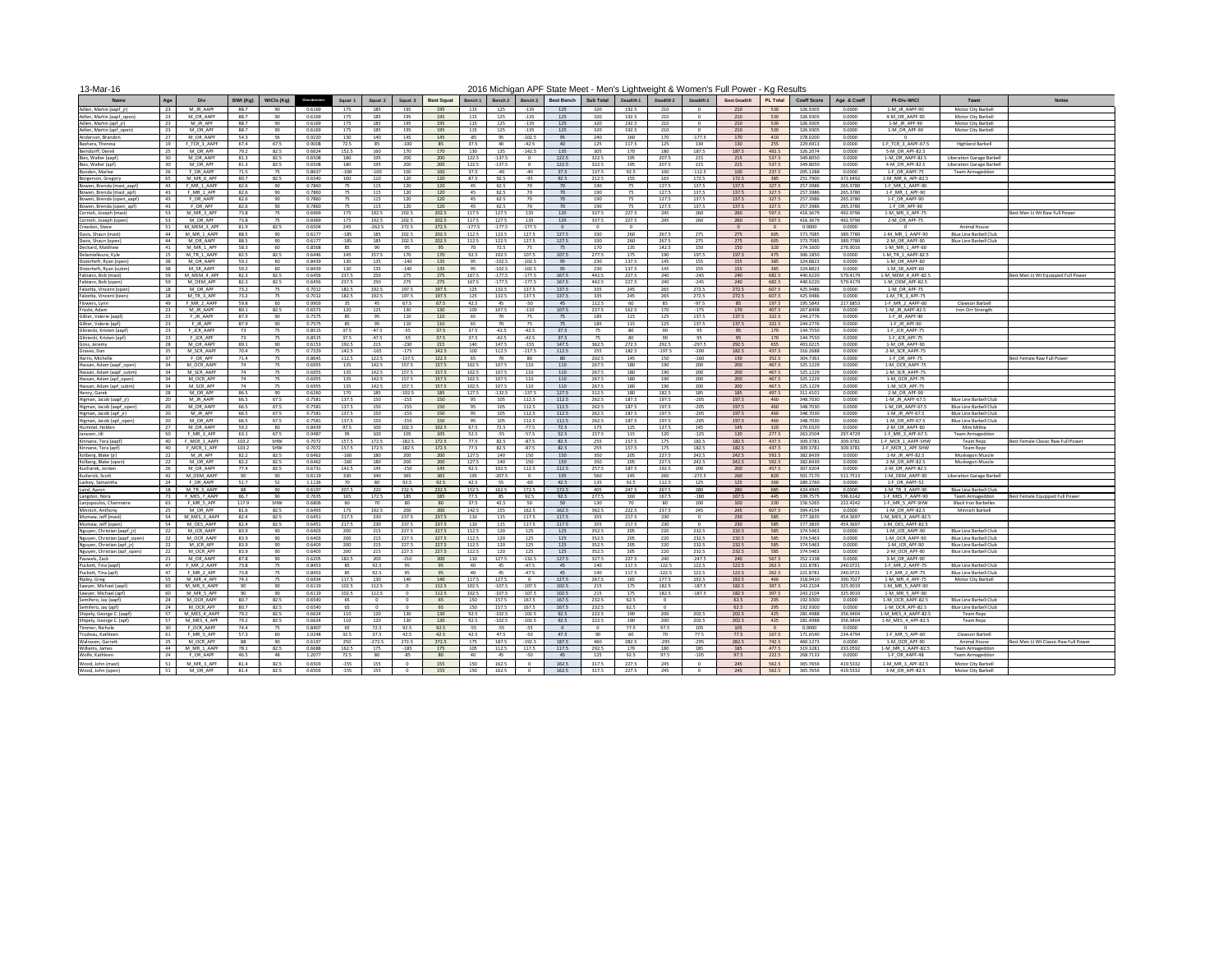| 13-Mar-16                                            |                 |                            |              |              |                  |                |                 |                 |                   |                |                   |                    |                   |                  |                |                 |                   | 2016 Michigan APF State Meet - Men's Lightweight & Women's Full Power - Kg Results |                 |                      |                      |                                         |                                               |                                       |
|------------------------------------------------------|-----------------|----------------------------|--------------|--------------|------------------|----------------|-----------------|-----------------|-------------------|----------------|-------------------|--------------------|-------------------|------------------|----------------|-----------------|-------------------|------------------------------------------------------------------------------------|-----------------|----------------------|----------------------|-----------------------------------------|-----------------------------------------------|---------------------------------------|
| <b>Name</b>                                          | Age             | Div                        | BWt (Kg)     | WtCls (Kg)   | Glossbrenner     | Squat 1        | Squat 2         | Squat 3         | <b>Best Squat</b> | Bench 1        | Bench 2           | <b>Bench 3</b>     | <b>Best Bench</b> | <b>Sub Total</b> | Deadlift 1     | Deadlift 2      | Deadlift 3        | <b>Best Deadlift</b>                                                               | <b>PL Total</b> | <b>Coeff Score</b>   | Age & Coeff          | <b>PI-Div-WtCl</b>                      | Team                                          | <b>Notes</b>                          |
| Adlen, Martin (aapf jr)                              | 23              | M JR AAPF                  | 88.7         | -90          | 0.6169           | 175            | 185             | 195             | 195               | 115            | 125               | $-135$             | 125               | 320              | 192.5          | 210             |                   | 210                                                                                | 530             | 326.9305             | 0.0000               | 1-M JR AAPF-90                          | <b>Motor City Barbell</b>                     |                                       |
| Adlen, Martin (aapf_open)                            | 23              | M OR AAPF                  | 88.7         | 90           | 0.6169           | 175            | 185             | 195             | 195               | 115            | 125               | $-135$             | 125               | 320              | 192.5          | 210             |                   | 210                                                                                | 530             | 326.9305             | 0.0000               | 4-M_OR_AAPF-90                          | Motor City Barbell                            |                                       |
| Adlen, Martin (apf_jr)                               | 23              | M JR APF                   | 88.7         | 90           | 0.6169           | 175            | 185             | 195             | 195               | 115            | 125               | $-135$             | 125               | 320              | 192.5          | 210             |                   | 210                                                                                | 530             | 326.9305             | 0.0000               | 1-M_JR_APF-90                           | Motor City Barbell                            |                                       |
| Adlen, Martin (apf_open)                             | 23              | M OR APF                   | 88.7         | 90           | 0.6169           | 175            | 185             | 195             | 195               | 115            | 125               | $-135$             | 125               | 320              | 192.5          | 210             | റ                 | 210                                                                                | 530             | 326.9305             | 0.0000<br>0.0000     | 1-M OR APF-90                           | Motor City Barbell                            |                                       |
| Anderson, Brandon<br>Bashara, Theresa                | 27<br>19        | M OR AAPF<br>F TCR 3 AAPF  | 54.3<br>67.4 | -56<br>67.5  | 0.9220<br>0.9008 | 130<br>72.5    | 140<br>85       | 145<br>$-100$   | 145               | -85<br>37.5    | 40.               | $-102.5$<br>-42.5  | -95<br>40         | 240<br>125       | 160<br>117.5   | 170<br>125      | $-177.5$<br>130   | 170<br>130                                                                         | 410<br>255      | 378.0200<br>229.6913 | 0.0000               | 1-F TCR 3 AAPF-67.5                     | <b>Highland Barbell</b>                       |                                       |
| Beindorff, Derek                                     | 25              | M OR APF                   | 79.2         | 82.5         | 0.6624           | 152.5          | 160             | 170             | 170               | 130            | 135               | $-142.5$           | 135               | 305              | 170            | 180             | 187.5             | 187.5                                                                              | 492.5           | 326.2074             | 0.0000               | 5-M OR APF-82.5                         |                                               |                                       |
| Bies, Walter (aapf                                   | 30              | M OR AAPF                  | 81.3         | 82.5         | 0.6508           | 180            | 195             | 200             | 200               | 122.5          | 137.5             |                    | 122.5             | 322.5            | 195            | 207.5           | 215               | 215                                                                                | 537.5           | 349.8050             | 0.0000               | 1-M OR AAPF-82.5                        | Liberation Garage Barbell                     |                                       |
| Bies, Walter (apf)                                   | 30 <sup>2</sup> | M OR APF                   | 81.3         | 82.5         | 0.6508           | 180            | 195             | 200             | 200               | 122.5          | 137.5             |                    | 122.5             | 322.5            | 195            | 207.5           | 215               | 215                                                                                | 537.5           | 349.8050             | 0.0000               | 4-M OR APF-82.5                         | Liberation Garage Barbell                     |                                       |
| Booden, Marlee                                       | 26              | F OR AAPF                  | 71.5         | 75           | 0.8637           | -100           | $-100$          | 100             | 100               | 37.5           | -40               | -40                | 37.5              | 137.5            | 92.5           | 100             | $-112.5$          | 100                                                                                | 237.5           | 205.1288             | 0.0000               | 1-F OR AAPF-75                          | Team Armageddon                               |                                       |
| Borgerson, Gregory                                   | 65<br>43        | M MR 6 APF<br>F MR 1 AAPF  | 80.7         | 82.5<br>90   | 0.6540<br>0.7860 | 100            | 110             | 120             | 120               | 87.5           | 92.5              | $-95$              | 92.5<br>-70       | 212.5            | 155            | 165<br>127.5    | 172.5             | 172.5<br>137.5                                                                     | 385<br>327.5    | 251.7900<br>257.3986 | 372.6492<br>265.3780 | 1-M MR 6 APF-82.5                       |                                               |                                       |
| 3owen, Brenda (mast_aapf)<br>Bowen, Brenda (mast_apf | 43              | F MR 1 APF                 | 82.6<br>82.6 | 90           | 0.7860           | 75             | 115<br>115      | 120<br>120      | 120<br>120        | 45<br>45       | 62.5<br>62.5      | 70<br>70           | -70               | 190<br>190       | -75<br>-75     | 127.5           | 137.5<br>137.5    | 137.5                                                                              | 327.5           | 257.3986             | 265.3780             | 1-F MR 1 AAPF-90<br>1-F_MR_1_APF-90     |                                               |                                       |
| Bowen, Brenda (open_aapf                             | 43              | F OR AAPF                  | 82.6         | 90           | 0.7860           |                | 115             | 120             | 120               | 45             | 62.5              | 70                 |                   | 190              | -75            | 127.5           | 137.5             | 137.5                                                                              | 327.5           | 257.3986             | 265.3780             | 1-F OR AAPF-90                          |                                               |                                       |
| Bowen, Brenda (open_apf)                             | 43              | F OR APF                   | 82.6         | 90           | 0.7860           |                | 115             | 120             | 120               | 45             | 62.5              | 70                 | -70               | 190              | -75            | 127.5           | 137.5             | 137.5                                                                              | 327.5           | 257.3986             | 265.3780             | 1-F OR APF-90                           |                                               |                                       |
| Cornish, Joseph (mast)                               | 53              | M MR 3 APF                 | 73.8         | 75           | 0.6969           | 175            | 192.5           | 202.5           | 202.5             | 117.5          | 127.5             | 135                | 135               | 337.5            | 227.5          | 245             | 260               | 260                                                                                | 597.5           | 416.3679             | 492.9796             | 1-M MR 3 APF-75                         |                                               | Best Men Lt Wt Raw Full Powe          |
| Cornish, Joseph (open)                               | 53              | M OR APF                   | 73.8         | 75           | 0.6969           | 175            | 192.5           | 202.5           | 202.5             | 117.5          | 127.5             | 135                | 135               | 337.5            | 227.5          | 245             | 260               | 260                                                                                | 597.5           | 416.3679             | 492.9796             | 2-M OR APF-75                           |                                               |                                       |
| Creedon, Steve<br>Davis, Shaun (mast)                | 51<br>44        | M MEM 3 APF<br>M MR 1 AAPF | 81.9<br>88.5 | 82.5<br>90   | 0.6504<br>0.6177 | 245<br>-185    | $-262.5$<br>185 | 272.5<br>202.5  | 272.5<br>202.5    | 177.5<br>112.5 | 177.5<br>122.5    | $-177.5$<br>127.5  | 127.5             | . റ<br>330       | - റ<br>260     | 267.5           | 275               | 275                                                                                | 605             | 0.0000<br>373.7085   | 0.0000<br>389.7780   | 1-M MR 1 AAPF-90                        | Animal House<br><b>Blue Line Barbell Club</b> |                                       |
| Davis, Shaun (open                                   | 44              | M OR AAPF                  | 88.5         | 90           | 0.6177           | -185           | 185             | 202.5           | 202.5             | 112.5          | 122.5             | 127.5              | 127.5             | 330              | 260            | 267.5           | 275               | 275                                                                                | 605             | 373.7085             | 389.7780             | 2-M OR AAPF-90                          | <b>Blue Line Barbell Club</b>                 |                                       |
| Deckard, Matthew                                     | 41              | M MR 1 APF                 | 58.3         | 60           | 0.8568           | -85            | 90              | 95              |                   | 70             | 72.5              | 75                 | - 75              | 170              | 135            | 142.5           | 150               | 150                                                                                | 320             | 274.1600             | 276.9016             | 1-M MR 1 APF-60                         |                                               |                                       |
| Delamielleure, Kyle                                  |                 | M TR 1 AAPF                | 82.5         | 82.5         | 0.6446           | 145            | 157.5           | 170             | 170               | 92.5           | 102.5             | 107.5              | 107.5             | 277.5            | 175            | 190             | 197.5             | 197.5                                                                              | 475             | 306.1850             | 0.0000               | 1-M TR 1 AAPF-82.5                      |                                               |                                       |
| Disterheft, Ryan (open)                              | 38              | M OR AAPF                  | 59.2         | 60           | 0.8439           | 130            | 135             | $-140$          | 135               |                | $-102.5$          | $-102.5$           | -95               | 230              | 137.5          | 145             | 155               | 155                                                                                | 385             | 324.8823             | 0.0000               | 1-M OR AAPF-60                          |                                               |                                       |
| Disterheft, Ryan (subm)                              | 38              | M SR AAPF                  | 59.2         | 60           | 0.8439           | 130            | 135             | $-140$          | 135               |                | $-102.5$          | $-102.5$           |                   | 230              | 137.5          | 145             | 155               | 155                                                                                | 385             | 324.8823             | 0.0000               | 1-M SR AAPF-60                          |                                               |                                       |
| Fabiano, Bob (mast)<br>Fabiano, Bob (open)           | 59<br>59        | M MEM 4 APF<br>M OEM APF   | 82.3<br>82.3 | 82.5<br>82.5 | 0.6456<br>0.6456 | 237.5<br>237.5 | 250<br>250      | 275<br>275      | 275               | 167.5<br>167.5 | 177.5<br>177.5    | $-177.5$<br>-177.5 | 167.5<br>167.5    | 442.5<br>442.5   | 227.5<br>227.5 | 240  <br>240    | -245<br>-245      | 240<br>240                                                                         | 682.5<br>682.5  | 440.6220<br>440.6220 | 579.4179<br>579.4179 | 1-M MEM 4 APF-82.5<br>1-M OEM APF-82.5  |                                               | Best Men Lt Wt Equipped Full Power    |
| alzetta, Vincent (open)                              | 18              | M OR APF                   | 73.2         | -75          | 0.7012           | 182.5          | 192.5           | 197.5           | 197.5             | 125            | 132.5             | 137.5              | 137.5             | 335              | 245            | 265             | 272.5             | 272.5                                                                              | 607.5           | 425.9486             | 0.0000               | 1-M OR APF-75                           |                                               |                                       |
| Falzetta, Vincent (teen)                             | 18              | M TR 3 APF                 | 73.2         | 75           | 0.7012           | 182.5          | 192.5           | 197.5           | 197.5             | 125            | 132.5             | 137.5              | 137.5             | 335              | 245            | 265             | 272.5             | 272.5                                                                              | 607.5           | 425.9486             | 0.0000               | 1-M TR 3 APF-75                         |                                               |                                       |
| owers, Lynn                                          | 49              | F_MR_2_AAPF                | 59.8         | 60           | 0.9903           | 35             | 45              | 67.5            | 67.5              | 42.5           |                   | $-50$              | 45                | 112.5            | 60             |                 | $-97.5$           | 85                                                                                 | 197.5           | 195.5843             | 217.6853             | 1-F_MR_2_AAPF-60                        | Clawson Barbell                               |                                       |
| Frizzle, Adam                                        | 23              | M JR AAPF                  | 80.1         | 82.5         | 0.6573           | 120            | 125             | 130             | 130               | 100            | 107.5             | $-110$             | 107.5             | 237.5            | 162.5          | 170             | $-175$            | 170                                                                                | 407.5           | 267.8498             | 0.0000               | 1-M_JR_AAPF-82.5                        | Iron Orr Strength                             |                                       |
| Gilber, Valerie (aapt                                | 23              | F JR AAPF                  | 87.9         | 90           | 0.7575           | 85             | 95              | 110             | 110               | 65             | 70                |                    |                   | 185              | 115            | 125             | 137.5             | 137.5                                                                              | 322.5           | 244.2776             | 0.0000               | 1-F_JR_AAPF-90                          |                                               |                                       |
| Gilber, Valerie (apf)<br>Gliniecki, Kristen (aapf    | 23<br>23        | F JR APF<br>F JCR AAPF     | 87.9         | 90           | 0.7575<br>0.8515 | 85<br>37.5     | 95<br>$-47.5$   | 110<br>-55      | 110<br>37.5       | 65<br>37.5     | 70<br>-42.5       | -42.5              | 37.5              | 185              | 115<br>80      | 125             | 137.5<br>95       | 137.5<br>95                                                                        | 322.5<br>170    | 244.2776<br>144.7550 | 0.0000<br>0.0000     | 1-F JR APF-90<br>1-F JCR AAPF-75        |                                               |                                       |
| Gliniecki, Kristen (apf)                             | 23              | F JCR APF                  |              | 75           | 0.8515           | 37.5           | $-47.5$         | $-55$           | 37.5              | 37.5           | -42.5             | -42.5              | 37.5              | 75               | 80             | ഹ               | 95                | 95                                                                                 | 170             | 144.7550             | 0.0000               | 1-F JCR APF-75                          |                                               |                                       |
| Goss, Jeremy                                         | 28              | M OR AAPF                  | 89.1         | 90           | 0.6153           | 192.5          | 215             | $-230$          | 215               | 140            | 147.5             | $-155$             | 147.5             | 362.5            | 272.5          | 292.5           | $-297.5$          | 292.5                                                                              | 655             | 403.0215             | 0.0000               | 1-M OR AAPF-90                          |                                               |                                       |
| Graves, Dan                                          | 35              | M SCR AAPF                 | 70.4         | 75           | 0.7229           | 142.5          | $-165$          | $-175$          | 142.5             | 100            | 112.5             | $-117.5$           | 112.5             | 255              | 182.5          | $-197.5$        | -200              | 182.5                                                                              | 437.5           | 316.2688             | 0.0000               | 2-M SCR AAPF-75                         |                                               |                                       |
| Harris, Michelle                                     | 37              | F OR APF                   | 71.4         | 75           | 0.8645           | 112.5          | 122.5           | $-137.5$        | 122.5             | 65             |                   | 80                 | -80               | 202.5            | 145            | 150             | -160              | 150                                                                                | 352.5           | 304.7363             | 0.0000               | 1-F OR APF-75                           |                                               | Best Female Raw Full Power            |
| Hassan, Adam (aapf_open)                             |                 | M OCR AAPF                 | -74          | -75          | 0.6955           | 135            | 142.5           | 157.5           | 157.5             | 102.5          | 107.5             | 110                | 110               | 267.5            | 180            | 190             | 200               | 200                                                                                | 467.5           | 325.1229             | 0.0000               | 1-M OCR AAPF-75                         |                                               |                                       |
| Hassan, Adam (aapf_subm<br>Hassan, Adam (apf_open)   | 34<br>34        | M SCR AAPF<br>M_OCR_APF    | -74<br>-74   | 75<br>75     | 0.6955<br>0.6955 | 135<br>135     | 142.5<br>142.5  | 157.5<br>157.5  | 157.5<br>157.5    | 102.5<br>102.5 | 107.5<br>107.5    | 110<br>110         | 110<br>110        | 267.5<br>267.5   | 180<br>180     | 190<br>190      | 200<br>200        | 200<br>200                                                                         | 467.5<br>467.5  | 325.1229<br>325.1229 | 0.0000<br>0.0000     | 1-M_SCR_AAPF-75<br>1-M_OCR_APF-75       |                                               |                                       |
| Hassan, Adam (apf_subm)                              | 34              | M SCR APF                  | -74          |              | 0.6955           | 135            | 142.5           | 157.5           | 157.5             | 102.5          | 107.5             | 110                | 110               | 267.5            | 180            | 190             | 200               | 200                                                                                | 467.5           | 325.1229             | 0.0000               | 1-M SCR APF-75                          |                                               |                                       |
| Henry, Garek                                         | 28              | M OR APF                   | 86.5         | 90           | 0.6260           | 170            | 185             | $-192.5$        | 185               | 127.5          | 132.5             | $-137.5$           | 127.5             | 312.5            | 180            | 182.5           | 185               | 185                                                                                | 497.5           | 311.4101             | 0.0000               | 2-M OR APF-90                           |                                               |                                       |
| Higman, Jacob (aapf_jr)                              | 20              | M JR AAPF                  | 66.5         | 67.5         | 0.7581           | 137.5          | 150             | $-155$          | 150               | 95             | 105               | 112.5              | 112.5             | 262.5            | 187.5          | 197.5           | $-205$            | 197.5                                                                              | 460             | 348.7030             | 0.0000               | 1-M JR AAPF-67.5                        | <b>Blue Line Barbell Club</b>                 |                                       |
| Higman, Jacob (aapf_open                             | 20              | M OR AAPF                  | 66.5         | 67.5         | 0.7581           | 137.5          | 150             | $-155$          | 150               | 95             | 105               | 112.5              | 112.5             | 262.5            | 187.5          | 197.5           | $-205$            | 197.5                                                                              | 46 <sub>C</sub> | 348.7030             | 0.0000               | 1-M OR AAPF-67.5                        | <b>Blue Line Barbell Club</b>                 |                                       |
| Higman, Jacob (apf_jr)                               | 20              | M JR APF                   | 66.5         | 67.5         | 0.7581           | 137.5          | 150             | $-155$          | 150               | 95             | 105               | 112.5              | 112.5             | 262.5            | 187.5          | 197.5           | $-205$            | 197.5                                                                              | 460             | 348.7030             | 0.0000               | 1-M JR APF-67.5                         | Blue Line Barbell Club                        |                                       |
| Higman, Jacob (apf open)<br>Hummel, Holden           | 20<br>27        | M OR APF<br>M OR AAPF      | 66.5<br>59.2 | 67.5<br>60   | 0.7581<br>0.8439 | 137.5<br>97.5  | 150<br>100      | $-155$<br>102.5 | 150<br>102.5      | 95<br>67.5     | 105<br>72.5       | 112.5<br>-77.5     | 112.5<br>72.5     | 262.5<br>175     | 187.5<br>125   | 197.5<br>137.5  | -205<br>145       | 197.5<br>145                                                                       | 460<br>320      | 348.7030<br>270.0320 | 0.0000<br>0.0000     | 1-M OR APF-67.5<br>2-M OR AAPF-60       | <b>Blue Line Barbell Club</b><br>Mini Militia |                                       |
| Janssen, Jill                                        | 50              | F MR 3 APF                 | 63.1         | 67.5         | 0.9487           | 95             | 100             | 105             | 105               | 52.5           | $-55$             | -57.5              | 52.5              | 157.5            | 115            | 120             | $-125$            | 120                                                                                | 277.5           | 263.2504             | 297.4729             | 1-F MR 3 APF-67.5                       | Team Armageddon                               |                                       |
| Kinnane, Tera (aapf                                  | 40              | MCR 1 AAPF                 | 103.2        | SHW          | 0.7072           | 157.5          | 172.5           | $-182.5$        | 172.5             | 77.5           | 82.5              | -87.5              | 82.5              | 255              | 157.5          | 175             | 182.5             | 182.5                                                                              | 437.5           | 309.3781             | 309.3781             | 1-F_MCR_1_AAPF-SHW                      | <b>Team Repz</b>                              | Best Female Classic Raw Full Power    |
| Kinnane, Tera (apf                                   | 40              | F MCR 1 APF                | 103.2        | SHW          | 0.7072           | 157.5          | 172.5           | $-182.5$        | 172.5             | 77.5           | 82.5              | -87.5              | 82.5              | 255              | 157.5          | 175             | 182.5             | 182.5                                                                              | 437.5           | 309.3781             | 309.3781             | 1-F MCR 1 APF-SHW                       | Team Repz                                     |                                       |
| Kolberg, Blake (jr)                                  | 22              | M JR APF                   | 82.2         | 82.5         | 0.6462           | -160           | 180             | 200             | 200               | 127.5          | 140               | 150                | 150               | 350              | 205            | 227.5           | 242.5             | 242.5                                                                              | 592.5           | 382.8439             | 0.0000               | 1-M JR APF-82.5                         | Muskegon Muscle                               |                                       |
| Kolberg, Blake (oper<br>Kucharek, Jordan             | 22<br>26        | M OR APF<br>M OR AAPF      | 82.2<br>77.4 | 82.5<br>82.5 | 0.6462<br>0.6731 | -160<br>142.5  | 180<br>145      | 200<br>$-150$   | 200<br>145        | 127.5<br>92.5  | 140<br>102.5      | 150<br>112.5       | 150<br>112.5      | 350<br>257.5     | 205<br>187.5   | 227.5<br>192.5  | 242.5<br>200      | 242.5<br>200                                                                       | 592.5<br>457.5  | 382.8439<br>307.9204 | 0.0000<br>0.0000     | 2-M OR APF-82.5<br>2-M OR AAPF-82.5     | Muskegon Muscle                               |                                       |
| Kuderick, Scott                                      | 42              | M OEM AAPF                 | -90          | 90           | 0.6119           | 330            | 340             | 365             | 365               | 195            | -207.5            |                    | 195               | 560              | 245            | 260             | $-272.5$          | 260                                                                                | 820             | 501.7170             | 511.7513             | 1-M OEM AAPF-90                         | Liberation Garage Barbell                     |                                       |
| Lackey, Samantha                                     | 24              | F OR AAPF                  | 51.7         | 52           | 1.1126           | 70             | 80              | 92.5            | 92.5              | 42.5           | 55                | -60                | 42.5              | 135              | 92.5           | 112.5           | 125               | 125                                                                                | 260             | 289.2760             | 0.0000               | 1-F OR AAPF-52                          |                                               |                                       |
| Laird, Aaron                                         | 18              | M TR 3 AAPF                | -88          | 90           | 0.6197           | 207.5          | 220             | 232.5           | 232.5             | 152.5          | 162.5             | 172.5              | 172.5             | 405              | 247.5          | 267.5           | 280               | 280                                                                                | 685             | 424.4945             | 0.0000               | 1-M TR 3 AAPF-90                        | <b>Blue Line Barbell Club</b>                 |                                       |
| Langdon, Nora                                        | 73              | F MES 7 AAPF               | 86.7         | 90           | 0.7635           | 165            | 172.5           | 185             | 185               | 77.5           | 85                | 92.5               | 92.5              | 277.5            | 160            | 167.5           | -180              | 167.5                                                                              | 445             | 339.7575             | 596.6142             | 1-F MES 7 AAPF-90                       | Team Armageddon                               | Best Female Equipped Full Power       |
| Lanjopoulos, Charmaine                               | 63              | F MR 5 APF                 | 117.9        | SHW          | 0.6806           | 60             | 70              | 80              |                   | 37.5           | 42.5              | 50                 | 50                | 130              | -70            | ՋՈ              | 100               | 100                                                                                | 230             | 156.5265             | 222.4242             | 1-F MR_5_APF-SHW                        | <b>Black Iron Barbelles</b>                   |                                       |
| Minnich, Anthony<br>Mumaw, Jeff (mast)               | 25<br>54        | M OR APF<br>M MES 3 AAPP   | 81.6<br>82.4 | 82.5<br>82.5 | 0.6493<br>0.6451 | 175<br>217.5   | 192.5<br>230    | 200<br>237.5    | 200               | 142.5          | 155               | 162.5<br>117.5     | 162.5<br>117.5    | 362.5            | 222.5<br>217.5 | 237.5<br>230    | 245               | 245<br>230                                                                         | 607.5<br>585    | 394.4194<br>377.3835 | 0.0000<br>454.3697   | 1-M OR APF-82.5<br>1-M MES 3 AAPF-82.5  | Minnich Barbell                               |                                       |
| Mumaw, Jeff (open)                                   | 54              | M OES AAPF                 | 82.4         | 82.5         | 0.6451           | 217.5          | 230             | 237.5           | 237.5             | 110            | 115               | 117.5              | 117.5             | 355              | 217.5          | 230             | റ                 | 230                                                                                | 585             | 377.3835             | 454.3697             | 1-M OES AAPF-82.5                       |                                               |                                       |
| Nguyen, Christian (aapf_jr)                          | 22              | M JCR AAPF                 | 83.9         | 90           | 0.6403           | 200            | 215             | 227.5           | 227.5             | 112.5          | 120               | 125                | 125               | 352.5            | 205            | 220             | 232.5             | 232.5                                                                              | 585             | 374.5463             | 0.0000               | 1-M JCR AAPF-90                         | <b>Blue Line Barbell Club</b>                 |                                       |
| Nguyen, Christian (aapf_open)                        | 22              | M OCR AAPF                 | 83.9         | 90           | 0.6403           | 200            | 215             | 227.5           | 227.5             | 112.5          | 120               | 125                | 125               | 352.5            | 205            | 220             | 232.5             | 232.5                                                                              | 585             | 374.5463             | 0.0000               | 1-M OCR AAPF-90                         | Blue Line Barbell Club                        |                                       |
| Nguyen, Christian (apf_jr)                           | 22              | M JCR APF                  | 83.9         | 90           | 0.6403           | 200            | 215             | 227.5           | 227.5             | 112.5          | 120               | 125                | 125               | 352.5            | 205            | 220             | 232.5             | 232.5                                                                              | 585             | 374.5463             | 0.0000               | 1-M JCR APF-90                          | <b>Blue Line Barbell Club</b>                 |                                       |
| Nguyen, Christian (apf open)                         | 22              | M OCR APF                  | 83.9         | 90           | 0.6403           | 200            | 215             | 227.5           | 227.5             | 112.5          | 120               | 125                | 125               | 352.5            | 205            | 220             | 232.5             | 232.5                                                                              | 585             | 374.5463             | 0.0000               | 2-M OCR APF-90                          | <b>Blue Line Barbell Club</b>                 |                                       |
| Pauwels, Zack<br>Puckett, Tina (aapf)                | 21<br>47        | M OR AAPF<br>F MR 2 AAPF   | 87.8<br>73.8 | 90<br>-75    | 0.6205<br>0.8453 | 182.5<br>85    | 200<br>92.5     | $-210$<br>95    | 200<br>-95        | 110<br>40      | 127.5<br>45       | $-132.5$<br>-47.5  | 127.5<br>45       | 327.5<br>140     | 227.5<br>117.5 | 240<br>$-122.5$ | $-247.5$<br>122.5 | 240<br>122.5                                                                       | 567.5<br>262.5  | 352.1338<br>221.8781 | 0.0000<br>240.0721   | 3-M OR AAPF-90<br>1-F_MR_2_AAPF-75      | <b>Blue Line Barbell Club</b>                 |                                       |
| Puckett, Tina (apf)                                  | 47              | F MR 2 APF                 | 73.8         | -75          | 0.8453           | 85             | 92.5            | 95              | 95                | 40             | 45                | -47.5              |                   | 140              | 117.5          | $-122.5$        | 122.5             | 122.5                                                                              | 262.5           | 221.8781             | 240.0721             | 1-F_MR_2_APF-75                         | <b>Blue Line Barbell Club</b>                 |                                       |
| Ripley, Greg                                         | 55              | M MR 4 APF                 | 74.3         | -75          | 0.6934           | 117.5          | 130             | 140             | 140               | 117.5          | 127.5             |                    | 127.5             | 267.5            | 165            | 177.5           | 192.5             | 192.5                                                                              | 460             | 318.9410             | 390.7027             | 1-M MR 4 APF-75                         | Motor City Barbell                            |                                       |
| Sawyer, Michael (aapf)                               | 60              | M MR 5 AAPF                | 90           | 90           | 0.6119           | 102.5          | 112.5           |                 | 112.5             | 102.5          | $-107.5$          | $-107.5$           | 102.5             | 215              | 175            | 182.5           | $-187.5$          | 182.5                                                                              | 397.5           | 243.2104             | 325.9019             | 1-M MR 5 AAPF-90                        |                                               |                                       |
| Sawyer, Michael (apf                                 | 60              | M MR 5 APF                 | - 90         | 90           | 0.6119           | 102.5          | 112.5           | റ               | 112.5             | 102.5          | $-107.5$          | $-107.5$           | 102.5             | 215              | 175            | 182.5           | $-187.5$          | 182.5                                                                              | 397.5           | 243.2104             | 325.9019             | 1-M MR 5 APF-90                         |                                               |                                       |
| Semifero, Jay (aapf)                                 | 24              | M OCR AAPF                 | 80.7         | 82.5         | 0.6540           | 65             | $\Omega$        | റ               | -65               | 150            | 157.5             | 167.5              | 167.5             | 232.5            | 62.5           | - റ             |                   | 62.5                                                                               | 295             | 192.9300             | 0.0000               | 1-M OCR AAPF-82.5                       | <b>Blue Line Barbell Club</b>                 |                                       |
| Semifero, Jay (apf)<br>Shipely, George C. (aapf)     | 24<br>57        | M OCR APF<br>M MES 4 AAPF  | 80.7<br>79.2 | 82.5<br>82.5 | 0.6540<br>0.6624 | 65<br>110      | - 0<br>120      | - റ<br>130      | 130               | 150<br>92.5    | 157.5<br>$-102.5$ | 167.5<br>$-102.5$  | 167.5<br>92.5     | 232.5<br>222.5   | 62.5<br>190    | 200             | 202.5             | 62.5<br>202.5                                                                      | 295<br>425      | 192.9300<br>281.4988 | 0.0000<br>356.9404   | 1-M OCR APF-82.5<br>1-M MES 4 AAPF-82.5 | Blue Line Barbell Club<br>Team Repz           |                                       |
| Shipely, George C. (apf)                             | 57              | M MES 4 APF                | 79.2         | 82.5         | 0.6624           | 110            | 120             | 130             | 130               | 92.5           | -102.5            | $-102.5$           | 92.5              | 222.5            | 190            | 200             | 202.5             | 202.5                                                                              | 425             | 281.4988             | 356.9404             | 1-M MES 4 APF-82.5                      | Team Repz                                     |                                       |
| Timmer, Nichole                                      | 30 <sup>2</sup> | F OCR AAPF                 | 74.4         | 75           | 0.8407           | 65             | 72.5            | 92.5            | 92.5              | -55            | -55               | $-55$              |                   | - റ              | 77.5           | 97.5            | 105               | 105                                                                                |                 | 0.0000               | 0.0000               |                                         |                                               |                                       |
| Trudeau, Kathleen                                    | 61              | F MR 5 APF                 | 57.3         | 60           | 1.0248           | 32.5           | 37.5            | 42.5            | 42.5              | 42.5           | 47.5              | $-50$              | 47.5              | 90               | 60             | 70.             | 77.5              | 77.5                                                                               | 167.5           | 171.6540             | 234.4794             | 1-F MR 5 APF-60                         | Clawson Barbell                               |                                       |
| Walraven, Garrett                                    | 25              | M_OCR_APF                  | 88           | 90           | 0.6197           | 250            | $-272.5$        | 272.5           | 272.5             | 175            | 187.5             | $-192.5$           | 187.5             | 460              | 282.5          | -295            | $-295$            | 282.5                                                                              | 742.5           | 460.1273             | 0.0000               | 1-M_OCR_APF-90                          | <b>Animal House</b>                           | Best Men Lt Wt Classic Raw Full Power |
| Williams, James                                      | 44              | M MR 1 AAPF                | 78.1         | 82.5         | 0.6688           | 162.5          | 175             | $-185$          | 175               | 105            | 112.5             | 117.5              | 117.5             | 292.5            | 170            | 180             | 185               | 185                                                                                | 477.5           | 319.3281             | 333.0592             | 1-M_MR_1_AAPF-82.5                      | Team Armageddon                               |                                       |
| Wolfe, Kathleen                                      | 24              | F OR AAPF                  | 46.5         | 48           | 1.2077           | 72.5           | 80              | -85             | <b>RO</b>         | 40             | 45                | -50                | 45                | 125              | 92.5           |                 | $-105$            | 97.5                                                                               | 222.5           | 268.7133             | 0.0000               | 1-F_OR_AAPF-48                          | Team Armageddon                               |                                       |
| Wood, John (mast)                                    | 51              | M MR 3 APF<br>M OR APF     | 81.4<br>81.4 | 82.5<br>82.5 | 0.6503<br>0.6503 | $-155$         | 155<br>155      |                 | 155<br>155        | 150            | 162.5<br>162.5    |                    | 162.5<br>162.5    | 317.5<br>317.5   | 227.5<br>227.5 | 245<br>245      | 0                 | 245<br>245                                                                         | 562.5<br>562.5  | 365.7656<br>365.7656 | 419.5332<br>419.5332 | 1-M MR 3 APF-82.5<br>3-M OR APF-82.5    | <b>Motor City Barbell</b>                     |                                       |
| Wood, John (open)                                    | 51              |                            |              |              |                  | $-155$         |                 |                 |                   | 150            |                   |                    |                   |                  |                |                 |                   |                                                                                    |                 |                      |                      |                                         | Motor City Barbell                            |                                       |